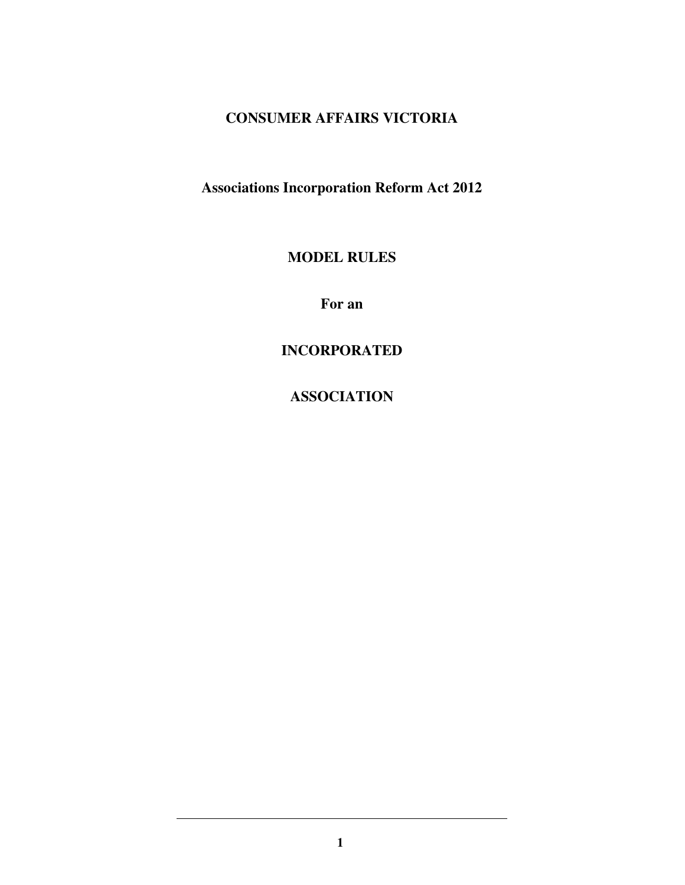# **CONSUMER AFFAIRS VICTORIA**

**Associations Incorporation Reform Act 2012** 

**MODEL RULES** 

**For an** 

**INCORPORATED** 

**ASSOCIATION**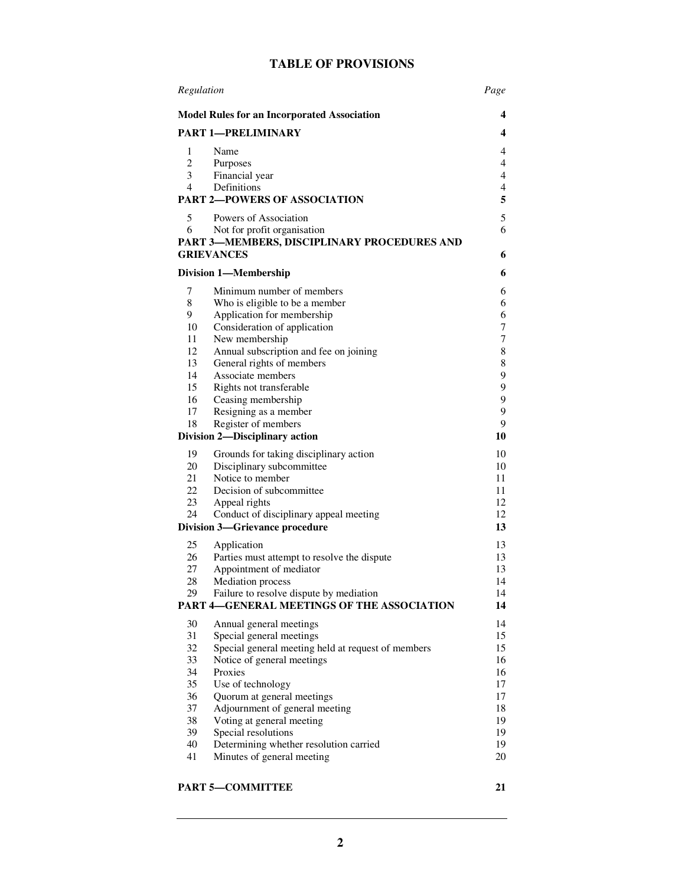# **TABLE OF PROVISIONS**

| Regulation                            |                                                                                  | Page     |
|---------------------------------------|----------------------------------------------------------------------------------|----------|
|                                       | <b>Model Rules for an Incorporated Association</b>                               | 4        |
|                                       | <b>PART 1-PRELIMINARY</b>                                                        | 4        |
| 1                                     | Name                                                                             | 4        |
| $\overline{c}$                        | Purposes                                                                         | 4        |
| 3                                     | Financial year                                                                   | 4        |
| 4                                     | Definitions                                                                      | 4        |
| <b>PART 2-POWERS OF ASSOCIATION</b>   |                                                                                  | 5        |
| 5                                     | Powers of Association                                                            | 5        |
| 6                                     | Not for profit organisation                                                      | 6        |
|                                       | PART 3-MEMBERS, DISCIPLINARY PROCEDURES AND                                      |          |
|                                       | <b>GRIEVANCES</b>                                                                | 6        |
| <b>Division 1-Membership</b>          |                                                                                  | 6        |
| 7                                     | Minimum number of members                                                        | 6        |
| 8                                     | Who is eligible to be a member                                                   | 6        |
| 9                                     | Application for membership                                                       | 6        |
| 10                                    | Consideration of application                                                     | 7        |
| 11                                    | New membership                                                                   | 7        |
| 12<br>13                              | Annual subscription and fee on joining<br>General rights of members              | 8        |
| 14                                    | Associate members                                                                | 8<br>9   |
| 15                                    | Rights not transferable                                                          | 9        |
| 16                                    | Ceasing membership                                                               | 9        |
| 17                                    | Resigning as a member                                                            | 9        |
| 18                                    | Register of members                                                              | 9        |
| Division 2-Disciplinary action        |                                                                                  | 10       |
| 19                                    | Grounds for taking disciplinary action                                           | 10       |
| 20                                    | Disciplinary subcommittee                                                        | 10       |
| 21                                    | Notice to member                                                                 | 11       |
| 22                                    | Decision of subcommittee                                                         | 11       |
| 23                                    | Appeal rights                                                                    | 12       |
| 24                                    | Conduct of disciplinary appeal meeting                                           | 12       |
| <b>Division 3-Grievance procedure</b> |                                                                                  | 13       |
| 25                                    | Application                                                                      | 13       |
| 26                                    | Parties must attempt to resolve the dispute                                      | 13       |
| 27                                    | Appointment of mediator                                                          | 13       |
| 28<br>29                              | Mediation process<br>Failure to resolve dispute by mediation                     | 14<br>14 |
|                                       | PART 4-GENERAL MEETINGS OF THE ASSOCIATION                                       | 14       |
|                                       |                                                                                  |          |
| 30                                    | Annual general meetings                                                          | 14       |
| 31<br>32                              | Special general meetings                                                         | 15<br>15 |
| 33                                    | Special general meeting held at request of members<br>Notice of general meetings | 16       |
| 34                                    | Proxies                                                                          | 16       |
| 35                                    | Use of technology                                                                | 17       |
| 36                                    | Quorum at general meetings                                                       | 17       |
| 37                                    | Adjournment of general meeting                                                   | 18       |
| 38                                    | Voting at general meeting                                                        | 19       |
| 39                                    | Special resolutions                                                              | 19       |
| 40                                    | Determining whether resolution carried                                           | 19       |
| 41                                    | Minutes of general meeting                                                       | 20       |

# PART 5-COMMITTEE 21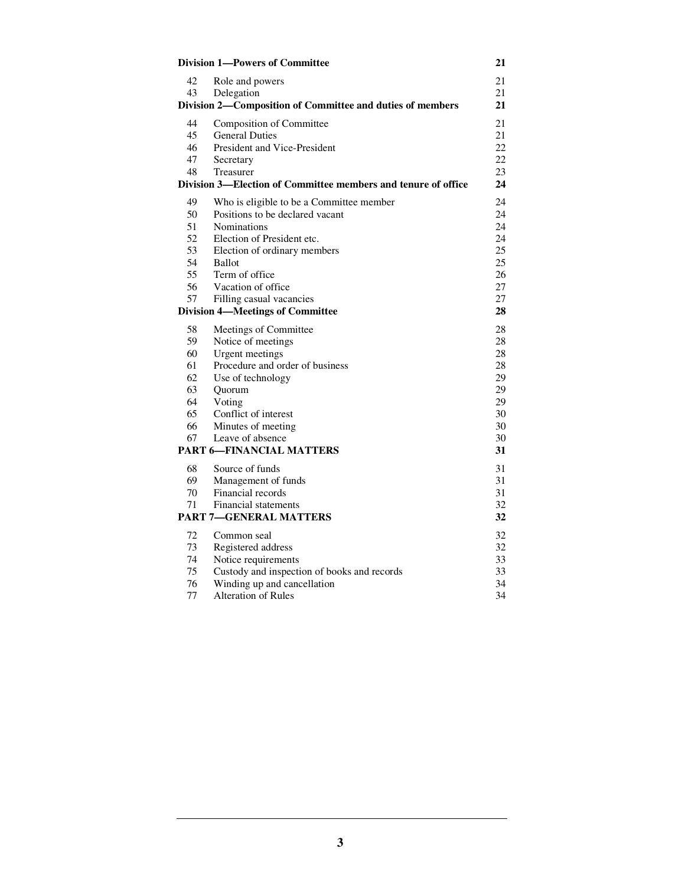| <b>Division 1-Powers of Committee</b> |                                                               | 21       |
|---------------------------------------|---------------------------------------------------------------|----------|
| 42                                    | Role and powers                                               | 21       |
| 43                                    | Delegation                                                    | 21       |
|                                       | Division 2-Composition of Committee and duties of members     | 21       |
| 44                                    | Composition of Committee                                      | 21       |
| 45                                    | <b>General Duties</b>                                         | 21       |
| 46                                    | <b>President and Vice-President</b>                           | 22       |
| 47                                    | Secretary                                                     | 22       |
| 48                                    | Treasurer                                                     | 23       |
|                                       | Division 3—Election of Committee members and tenure of office | 24       |
| 49                                    | Who is eligible to be a Committee member                      | 24       |
| 50                                    | Positions to be declared vacant                               | 24       |
| 51                                    | <b>Nominations</b>                                            | 24       |
| 52                                    | Election of President etc.                                    | 24       |
| 53                                    | Election of ordinary members                                  | 25       |
| 54                                    | Ballot                                                        | 25       |
| 55                                    | Term of office                                                | 26       |
| 56                                    | Vacation of office                                            | 27       |
| 57                                    | Filling casual vacancies                                      | 27<br>28 |
|                                       | <b>Division 4-Meetings of Committee</b>                       |          |
| 58                                    | Meetings of Committee                                         | 28       |
| 59                                    | Notice of meetings                                            | 28       |
| 60                                    | <b>Urgent</b> meetings                                        | 28       |
| 61                                    | Procedure and order of business                               | 28       |
| 62<br>63                              | Use of technology                                             | 29<br>29 |
| 64                                    | Quorum<br>Voting                                              | 29       |
| 65                                    | Conflict of interest                                          | 30       |
| 66                                    | Minutes of meeting                                            | 30       |
| 67                                    | Leave of absence                                              | 30       |
|                                       | <b>PART 6-FINANCIAL MATTERS</b>                               | 31       |
| 68                                    | Source of funds                                               | 31       |
| 69                                    | Management of funds                                           | 31       |
| 70                                    | Financial records                                             | 31       |
| 71                                    | Financial statements                                          | 32       |
|                                       | <b>PART 7-GENERAL MATTERS</b>                                 | 32       |
| 72                                    | Common seal                                                   | 32       |
| 73                                    | Registered address                                            | 32       |
| 74                                    | Notice requirements                                           | 33       |
| 75                                    | Custody and inspection of books and records                   | 33       |
| 76                                    | Winding up and cancellation                                   | 34       |
| 77                                    | <b>Alteration of Rules</b>                                    | 34       |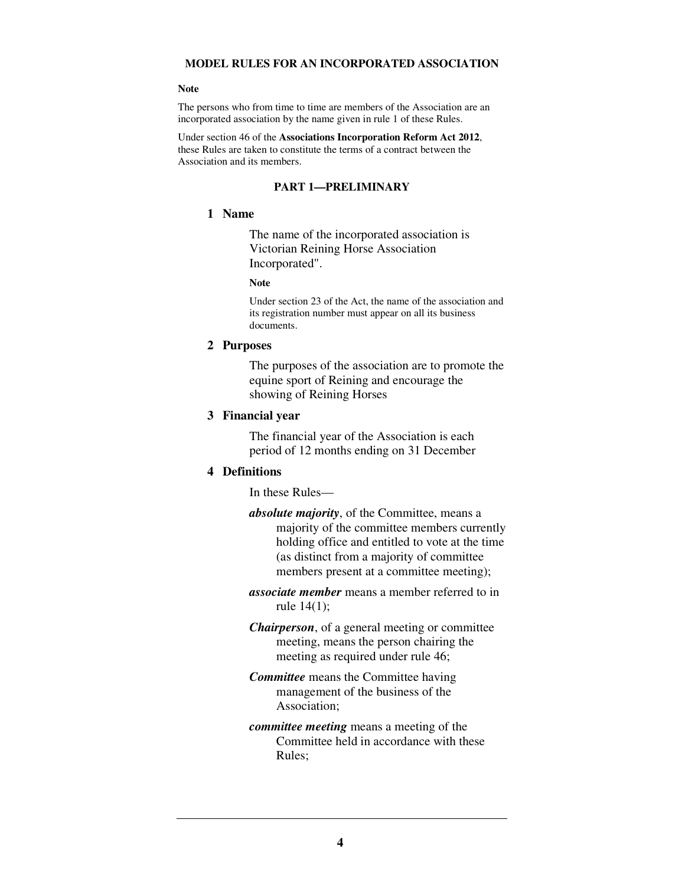### **MODEL RULES FOR AN INCORPORATED ASSOCIATION**

#### **Note**

The persons who from time to time are members of the Association are an incorporated association by the name given in rule 1 of these Rules.

Under section 46 of the **Associations Incorporation Reform Act 2012**, these Rules are taken to constitute the terms of a contract between the Association and its members.

### **PART 1—PRELIMINARY**

#### **1 Name**

The name of the incorporated association is Victorian Reining Horse Association Incorporated".

#### **Note**

Under section 23 of the Act, the name of the association and its registration number must appear on all its business documents.

#### **2 Purposes**

The purposes of the association are to promote the equine sport of Reining and encourage the showing of Reining Horses

#### **3 Financial year**

The financial year of the Association is each period of 12 months ending on 31 December

#### **4 Definitions**

In these Rules—

*absolute majority*, of the Committee, means a majority of the committee members currently holding office and entitled to vote at the time (as distinct from a majority of committee members present at a committee meeting);

*associate member* means a member referred to in rule 14(1);

*Chairperson*, of a general meeting or committee meeting, means the person chairing the meeting as required under rule 46;

*Committee* means the Committee having management of the business of the Association;

*committee meeting* means a meeting of the Committee held in accordance with these Rules;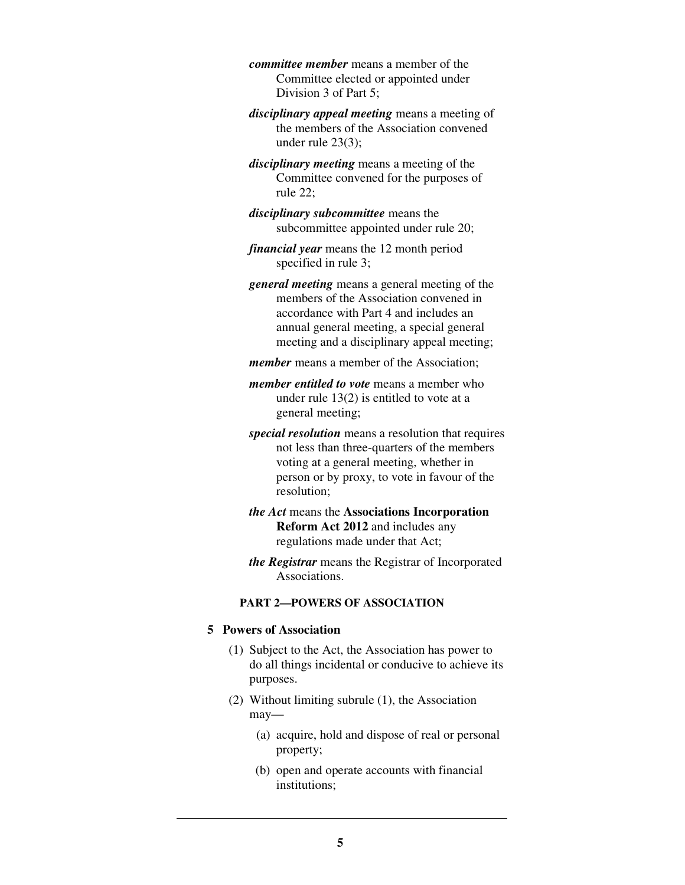*committee member* means a member of the Committee elected or appointed under Division 3 of Part 5;

*disciplinary appeal meeting* means a meeting of the members of the Association convened under rule 23(3);

*disciplinary meeting* means a meeting of the Committee convened for the purposes of rule 22;

*disciplinary subcommittee* means the subcommittee appointed under rule 20;

*financial year* means the 12 month period specified in rule 3;

*general meeting* means a general meeting of the members of the Association convened in accordance with Part 4 and includes an annual general meeting, a special general meeting and a disciplinary appeal meeting;

*member* means a member of the Association;

*member entitled to vote* means a member who under rule 13(2) is entitled to vote at a general meeting;

*special resolution* means a resolution that requires not less than three-quarters of the members voting at a general meeting, whether in person or by proxy, to vote in favour of the resolution;

*the Act* means the **Associations Incorporation Reform Act 2012** and includes any regulations made under that Act;

*the Registrar* means the Registrar of Incorporated Associations.

### **PART 2—POWERS OF ASSOCIATION**

# **5 Powers of Association**

- (1) Subject to the Act, the Association has power to do all things incidental or conducive to achieve its purposes.
- (2) Without limiting subrule (1), the Association may—
	- (a) acquire, hold and dispose of real or personal property;
	- (b) open and operate accounts with financial institutions;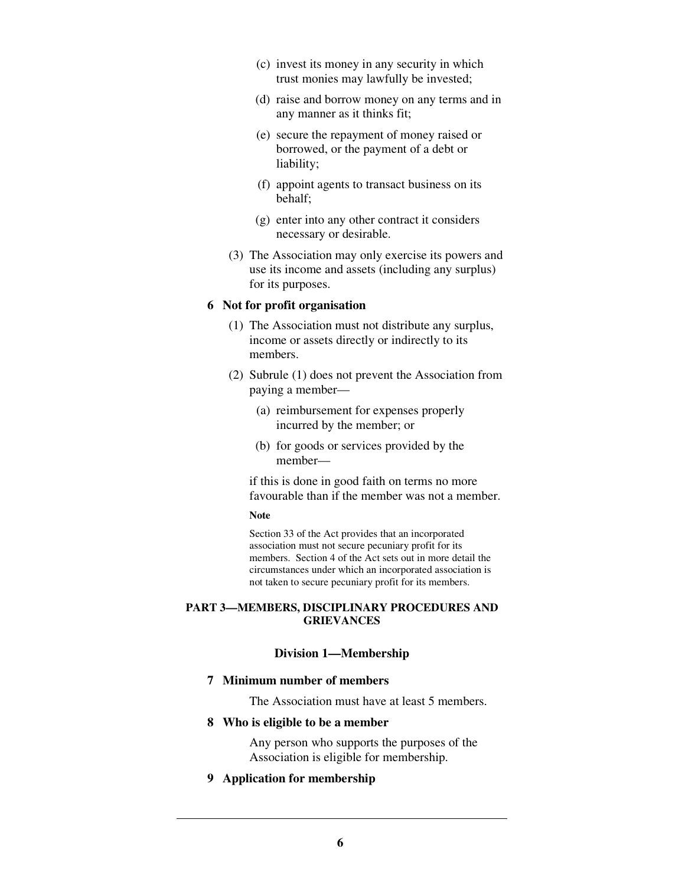- (c) invest its money in any security in which trust monies may lawfully be invested;
- (d) raise and borrow money on any terms and in any manner as it thinks fit;
- (e) secure the repayment of money raised or borrowed, or the payment of a debt or liability;
- (f) appoint agents to transact business on its behalf;
- (g) enter into any other contract it considers necessary or desirable.
- (3) The Association may only exercise its powers and use its income and assets (including any surplus) for its purposes.

#### **6 Not for profit organisation**

- (1) The Association must not distribute any surplus, income or assets directly or indirectly to its members.
- (2) Subrule (1) does not prevent the Association from paying a member—
	- (a) reimbursement for expenses properly incurred by the member; or
	- (b) for goods or services provided by the member—

if this is done in good faith on terms no more favourable than if the member was not a member.

#### **Note**

Section 33 of the Act provides that an incorporated association must not secure pecuniary profit for its members. Section 4 of the Act sets out in more detail the circumstances under which an incorporated association is not taken to secure pecuniary profit for its members.

#### **PART 3—MEMBERS, DISCIPLINARY PROCEDURES AND GRIEVANCES**

# **Division 1—Membership**

#### **7 Minimum number of members**

The Association must have at least 5 members.

#### **8 Who is eligible to be a member**

Any person who supports the purposes of the Association is eligible for membership.

# **9 Application for membership**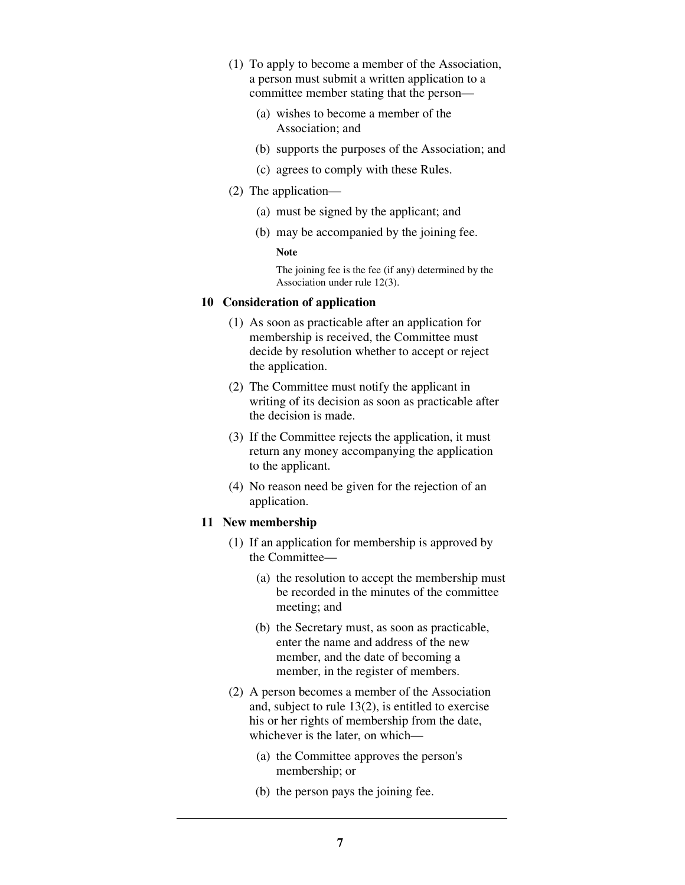- (1) To apply to become a member of the Association, a person must submit a written application to a committee member stating that the person—
	- (a) wishes to become a member of the Association; and
	- (b) supports the purposes of the Association; and
	- (c) agrees to comply with these Rules.
- (2) The application—
	- (a) must be signed by the applicant; and
	- (b) may be accompanied by the joining fee.

#### **Note**

The joining fee is the fee (if any) determined by the Association under rule 12(3).

# **10 Consideration of application**

- (1) As soon as practicable after an application for membership is received, the Committee must decide by resolution whether to accept or reject the application.
- (2) The Committee must notify the applicant in writing of its decision as soon as practicable after the decision is made.
- (3) If the Committee rejects the application, it must return any money accompanying the application to the applicant.
- (4) No reason need be given for the rejection of an application.

# **11 New membership**

- (1) If an application for membership is approved by the Committee—
	- (a) the resolution to accept the membership must be recorded in the minutes of the committee meeting; and
	- (b) the Secretary must, as soon as practicable, enter the name and address of the new member, and the date of becoming a member, in the register of members.
- (2) A person becomes a member of the Association and, subject to rule 13(2), is entitled to exercise his or her rights of membership from the date, whichever is the later, on which—
	- (a) the Committee approves the person's membership; or
	- (b) the person pays the joining fee.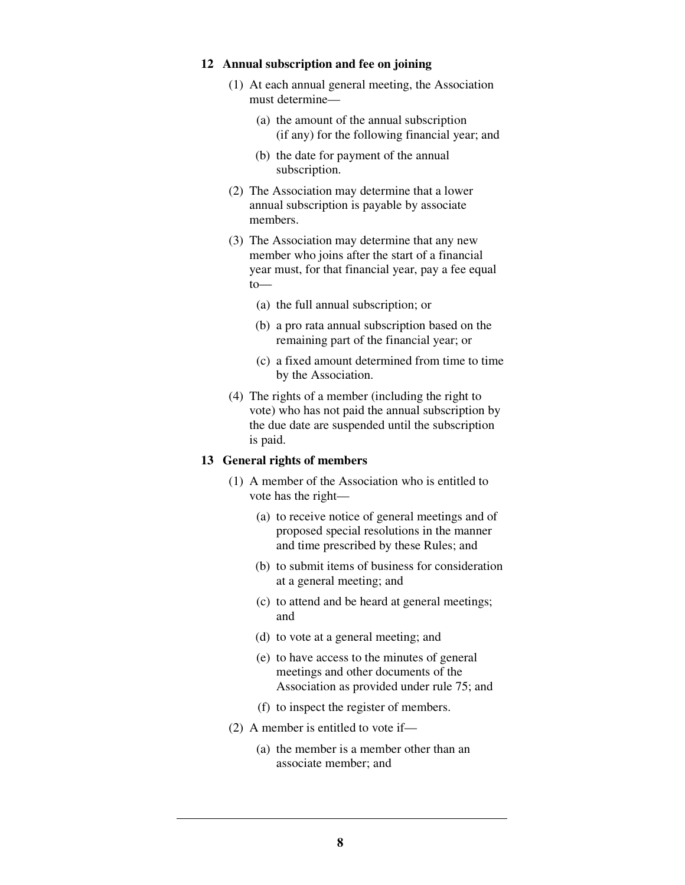### **12 Annual subscription and fee on joining**

- (1) At each annual general meeting, the Association must determine—
	- (a) the amount of the annual subscription (if any) for the following financial year; and
	- (b) the date for payment of the annual subscription.
- (2) The Association may determine that a lower annual subscription is payable by associate members.
- (3) The Association may determine that any new member who joins after the start of a financial year must, for that financial year, pay a fee equal to—
	- (a) the full annual subscription; or
	- (b) a pro rata annual subscription based on the remaining part of the financial year; or
	- (c) a fixed amount determined from time to time by the Association.
- (4) The rights of a member (including the right to vote) who has not paid the annual subscription by the due date are suspended until the subscription is paid.

# **13 General rights of members**

- (1) A member of the Association who is entitled to vote has the right—
	- (a) to receive notice of general meetings and of proposed special resolutions in the manner and time prescribed by these Rules; and
	- (b) to submit items of business for consideration at a general meeting; and
	- (c) to attend and be heard at general meetings; and
	- (d) to vote at a general meeting; and
	- (e) to have access to the minutes of general meetings and other documents of the Association as provided under rule 75; and
	- (f) to inspect the register of members.
- (2) A member is entitled to vote if—
	- (a) the member is a member other than an associate member; and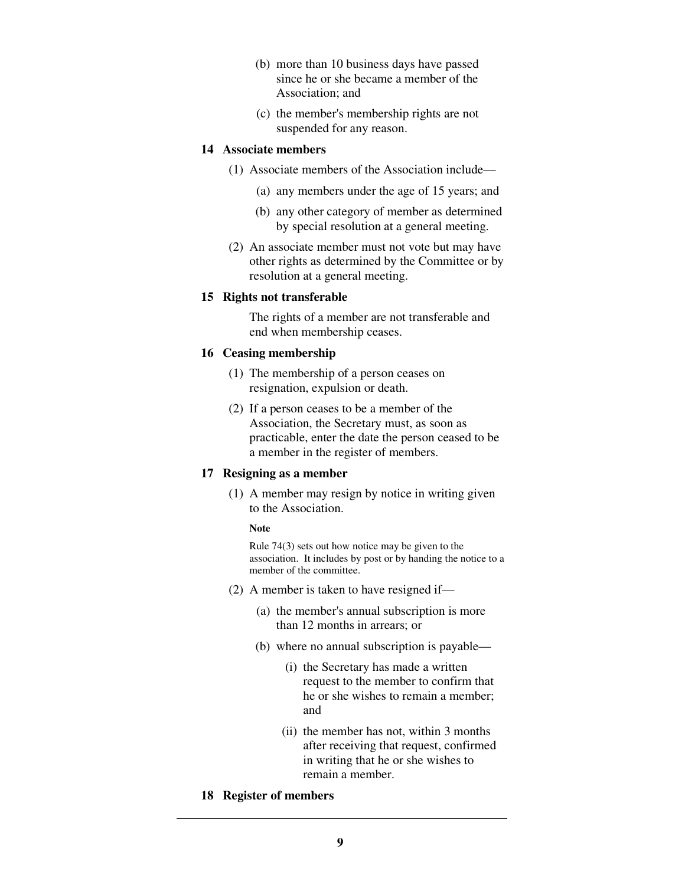- (b) more than 10 business days have passed since he or she became a member of the Association; and
- (c) the member's membership rights are not suspended for any reason.

### **14 Associate members**

- (1) Associate members of the Association include—
	- (a) any members under the age of 15 years; and
	- (b) any other category of member as determined by special resolution at a general meeting.
- (2) An associate member must not vote but may have other rights as determined by the Committee or by resolution at a general meeting.

### **15 Rights not transferable**

The rights of a member are not transferable and end when membership ceases.

### **16 Ceasing membership**

- (1) The membership of a person ceases on resignation, expulsion or death.
- (2) If a person ceases to be a member of the Association, the Secretary must, as soon as practicable, enter the date the person ceased to be a member in the register of members.

# **17 Resigning as a member**

 (1) A member may resign by notice in writing given to the Association.

#### **Note**

Rule 74(3) sets out how notice may be given to the association. It includes by post or by handing the notice to a member of the committee.

- (2) A member is taken to have resigned if—
	- (a) the member's annual subscription is more than 12 months in arrears; or
	- (b) where no annual subscription is payable—
		- (i) the Secretary has made a written request to the member to confirm that he or she wishes to remain a member; and
		- (ii) the member has not, within 3 months after receiving that request, confirmed in writing that he or she wishes to remain a member.
- **18 Register of members**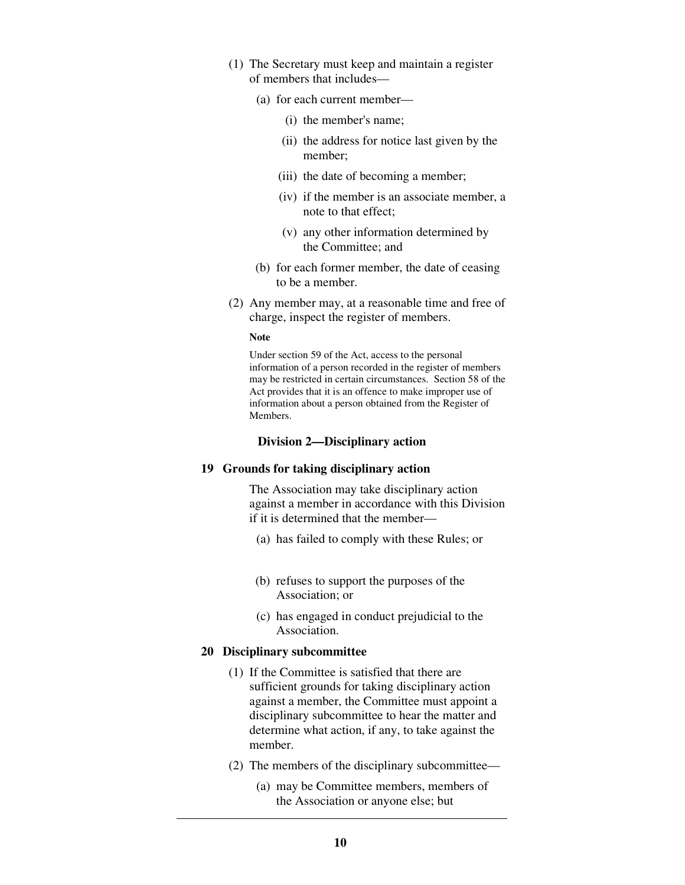- (1) The Secretary must keep and maintain a register of members that includes—
	- (a) for each current member—
		- (i) the member's name;
		- (ii) the address for notice last given by the member;
		- (iii) the date of becoming a member;
		- (iv) if the member is an associate member, a note to that effect;
		- (v) any other information determined by the Committee; and
	- (b) for each former member, the date of ceasing to be a member.
- (2) Any member may, at a reasonable time and free of charge, inspect the register of members.

#### **Note**

Under section 59 of the Act, access to the personal information of a person recorded in the register of members may be restricted in certain circumstances. Section 58 of the Act provides that it is an offence to make improper use of information about a person obtained from the Register of Members.

#### **Division 2—Disciplinary action**

#### **19 Grounds for taking disciplinary action**

The Association may take disciplinary action against a member in accordance with this Division if it is determined that the member—

- (a) has failed to comply with these Rules; or
- (b) refuses to support the purposes of the Association; or
- (c) has engaged in conduct prejudicial to the Association.

#### **20 Disciplinary subcommittee**

- (1) If the Committee is satisfied that there are sufficient grounds for taking disciplinary action against a member, the Committee must appoint a disciplinary subcommittee to hear the matter and determine what action, if any, to take against the member.
- (2) The members of the disciplinary subcommittee—
	- (a) may be Committee members, members of the Association or anyone else; but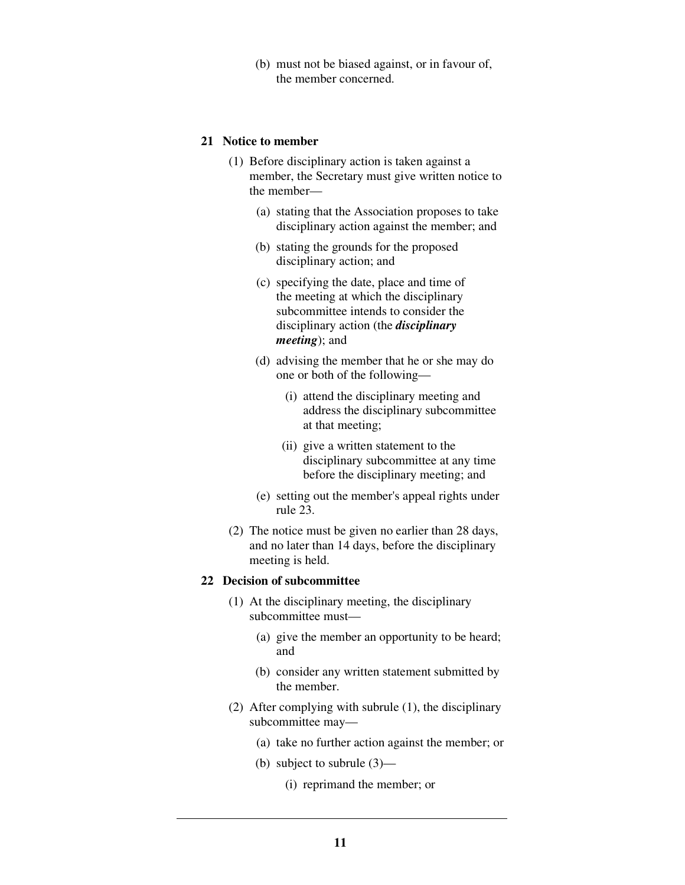(b) must not be biased against, or in favour of, the member concerned.

#### **21 Notice to member**

- (1) Before disciplinary action is taken against a member, the Secretary must give written notice to the member—
	- (a) stating that the Association proposes to take disciplinary action against the member; and
	- (b) stating the grounds for the proposed disciplinary action; and
	- (c) specifying the date, place and time of the meeting at which the disciplinary subcommittee intends to consider the disciplinary action (the *disciplinary meeting*); and
	- (d) advising the member that he or she may do one or both of the following—
		- (i) attend the disciplinary meeting and address the disciplinary subcommittee at that meeting;
		- (ii) give a written statement to the disciplinary subcommittee at any time before the disciplinary meeting; and
	- (e) setting out the member's appeal rights under rule 23.
- (2) The notice must be given no earlier than 28 days, and no later than 14 days, before the disciplinary meeting is held.

#### **22 Decision of subcommittee**

- (1) At the disciplinary meeting, the disciplinary subcommittee must—
	- (a) give the member an opportunity to be heard; and
	- (b) consider any written statement submitted by the member.
- (2) After complying with subrule (1), the disciplinary subcommittee may—
	- (a) take no further action against the member; or
	- (b) subject to subrule (3)—
		- (i) reprimand the member; or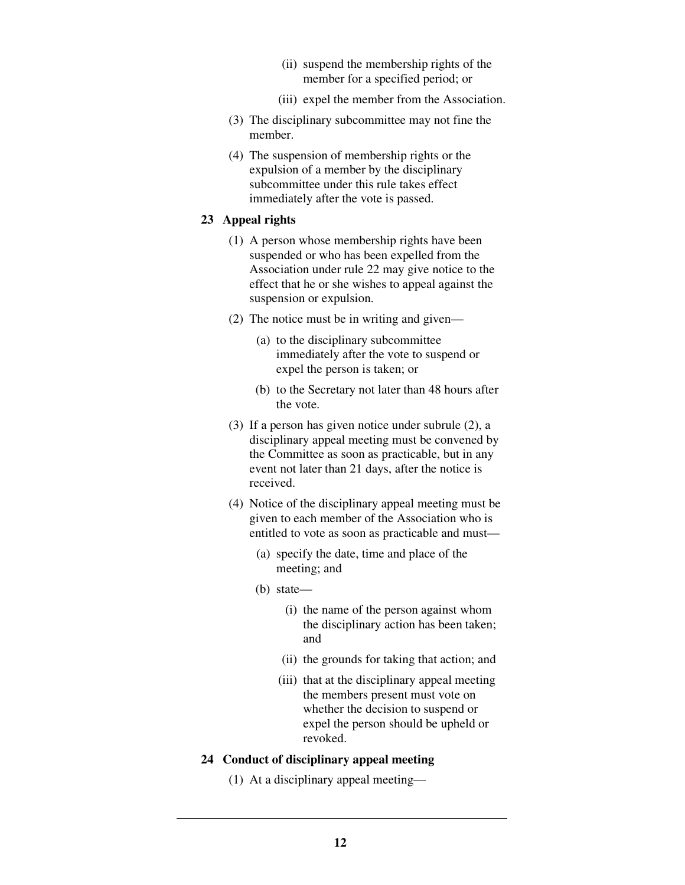- (ii) suspend the membership rights of the member for a specified period; or
- (iii) expel the member from the Association.
- (3) The disciplinary subcommittee may not fine the member.
- (4) The suspension of membership rights or the expulsion of a member by the disciplinary subcommittee under this rule takes effect immediately after the vote is passed.

#### **23 Appeal rights**

- (1) A person whose membership rights have been suspended or who has been expelled from the Association under rule 22 may give notice to the effect that he or she wishes to appeal against the suspension or expulsion.
- (2) The notice must be in writing and given—
	- (a) to the disciplinary subcommittee immediately after the vote to suspend or expel the person is taken; or
	- (b) to the Secretary not later than 48 hours after the vote.
- (3) If a person has given notice under subrule (2), a disciplinary appeal meeting must be convened by the Committee as soon as practicable, but in any event not later than 21 days, after the notice is received.
- (4) Notice of the disciplinary appeal meeting must be given to each member of the Association who is entitled to vote as soon as practicable and must—
	- (a) specify the date, time and place of the meeting; and
	- (b) state—
		- (i) the name of the person against whom the disciplinary action has been taken; and
		- (ii) the grounds for taking that action; and
		- (iii) that at the disciplinary appeal meeting the members present must vote on whether the decision to suspend or expel the person should be upheld or revoked.

### **24 Conduct of disciplinary appeal meeting**

(1) At a disciplinary appeal meeting—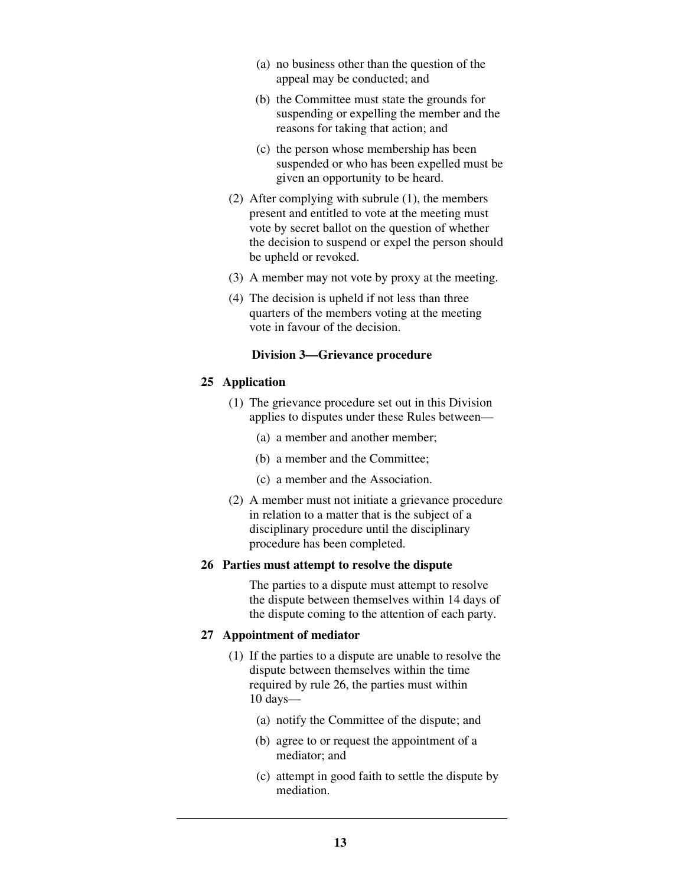- (a) no business other than the question of the appeal may be conducted; and
- (b) the Committee must state the grounds for suspending or expelling the member and the reasons for taking that action; and
- (c) the person whose membership has been suspended or who has been expelled must be given an opportunity to be heard.
- (2) After complying with subrule (1), the members present and entitled to vote at the meeting must vote by secret ballot on the question of whether the decision to suspend or expel the person should be upheld or revoked.
- (3) A member may not vote by proxy at the meeting.
- (4) The decision is upheld if not less than three quarters of the members voting at the meeting vote in favour of the decision.

### **Division 3—Grievance procedure**

### **25 Application**

- (1) The grievance procedure set out in this Division applies to disputes under these Rules between—
	- (a) a member and another member;
	- (b) a member and the Committee;
	- (c) a member and the Association.
- (2) A member must not initiate a grievance procedure in relation to a matter that is the subject of a disciplinary procedure until the disciplinary procedure has been completed.

### **26 Parties must attempt to resolve the dispute**

The parties to a dispute must attempt to resolve the dispute between themselves within 14 days of the dispute coming to the attention of each party.

# **27 Appointment of mediator**

- (1) If the parties to a dispute are unable to resolve the dispute between themselves within the time required by rule 26, the parties must within 10 days—
	- (a) notify the Committee of the dispute; and
	- (b) agree to or request the appointment of a mediator; and
	- (c) attempt in good faith to settle the dispute by mediation.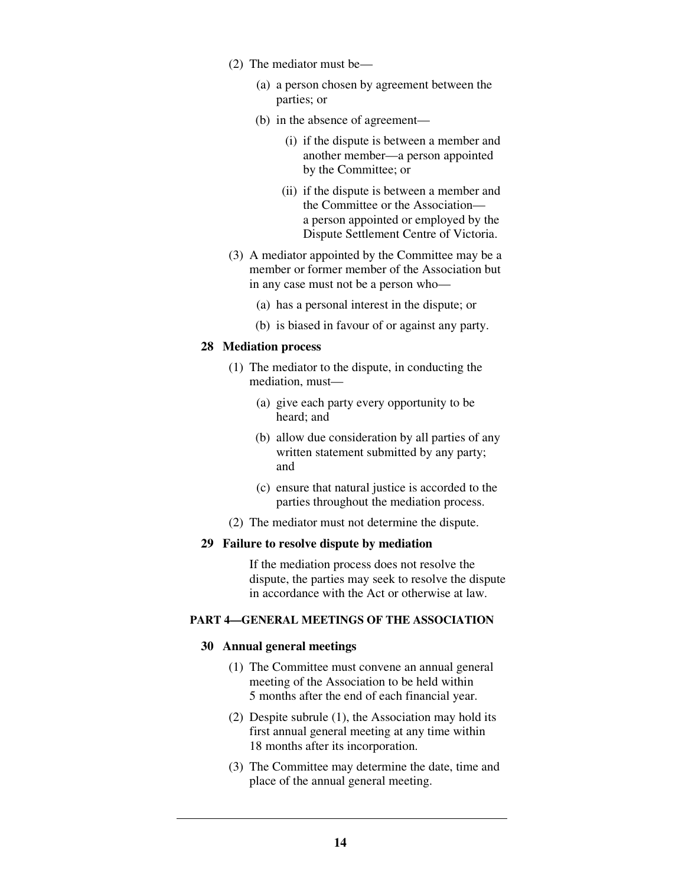- (2) The mediator must be—
	- (a) a person chosen by agreement between the parties; or
	- (b) in the absence of agreement—
		- (i) if the dispute is between a member and another member—a person appointed by the Committee; or
		- (ii) if the dispute is between a member and the Committee or the Association a person appointed or employed by the Dispute Settlement Centre of Victoria.
- (3) A mediator appointed by the Committee may be a member or former member of the Association but in any case must not be a person who—
	- (a) has a personal interest in the dispute; or
	- (b) is biased in favour of or against any party.

### **28 Mediation process**

- (1) The mediator to the dispute, in conducting the mediation, must—
	- (a) give each party every opportunity to be heard; and
	- (b) allow due consideration by all parties of any written statement submitted by any party; and
	- (c) ensure that natural justice is accorded to the parties throughout the mediation process.
- (2) The mediator must not determine the dispute.

#### **29 Failure to resolve dispute by mediation**

If the mediation process does not resolve the dispute, the parties may seek to resolve the dispute in accordance with the Act or otherwise at law.

### **PART 4—GENERAL MEETINGS OF THE ASSOCIATION**

#### **30 Annual general meetings**

- (1) The Committee must convene an annual general meeting of the Association to be held within 5 months after the end of each financial year.
- (2) Despite subrule (1), the Association may hold its first annual general meeting at any time within 18 months after its incorporation.
- (3) The Committee may determine the date, time and place of the annual general meeting.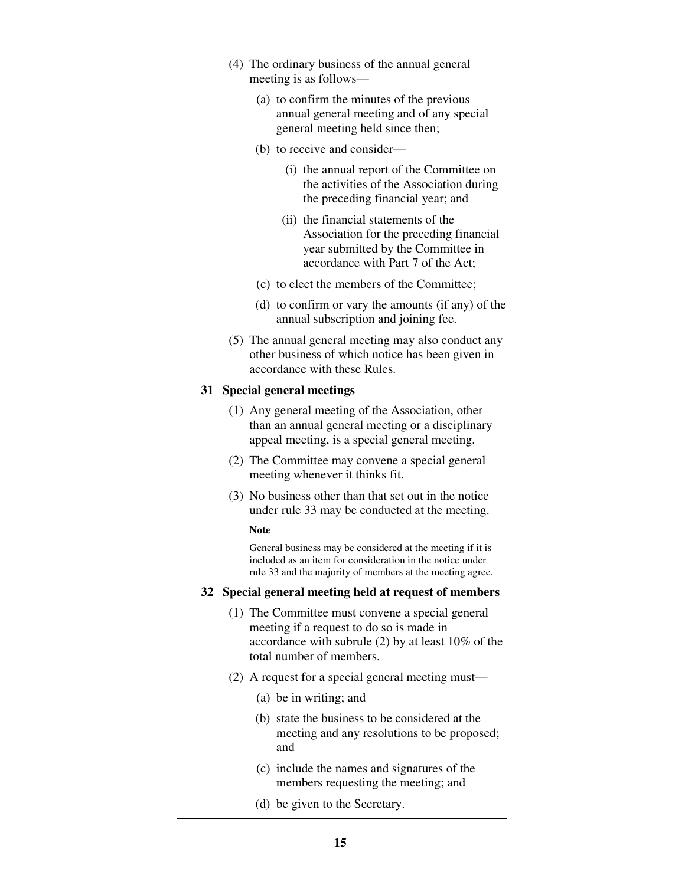- (4) The ordinary business of the annual general meeting is as follows—
	- (a) to confirm the minutes of the previous annual general meeting and of any special general meeting held since then;
	- (b) to receive and consider—
		- (i) the annual report of the Committee on the activities of the Association during the preceding financial year; and
		- (ii) the financial statements of the Association for the preceding financial year submitted by the Committee in accordance with Part 7 of the Act;
	- (c) to elect the members of the Committee;
	- (d) to confirm or vary the amounts (if any) of the annual subscription and joining fee.
- (5) The annual general meeting may also conduct any other business of which notice has been given in accordance with these Rules.

#### **31 Special general meetings**

- (1) Any general meeting of the Association, other than an annual general meeting or a disciplinary appeal meeting, is a special general meeting.
- (2) The Committee may convene a special general meeting whenever it thinks fit.
- (3) No business other than that set out in the notice under rule 33 may be conducted at the meeting.

#### **Note**

General business may be considered at the meeting if it is included as an item for consideration in the notice under rule 33 and the majority of members at the meeting agree.

#### **32 Special general meeting held at request of members**

- (1) The Committee must convene a special general meeting if a request to do so is made in accordance with subrule (2) by at least 10% of the total number of members.
- (2) A request for a special general meeting must—
	- (a) be in writing; and
	- (b) state the business to be considered at the meeting and any resolutions to be proposed; and
	- (c) include the names and signatures of the members requesting the meeting; and
	- (d) be given to the Secretary.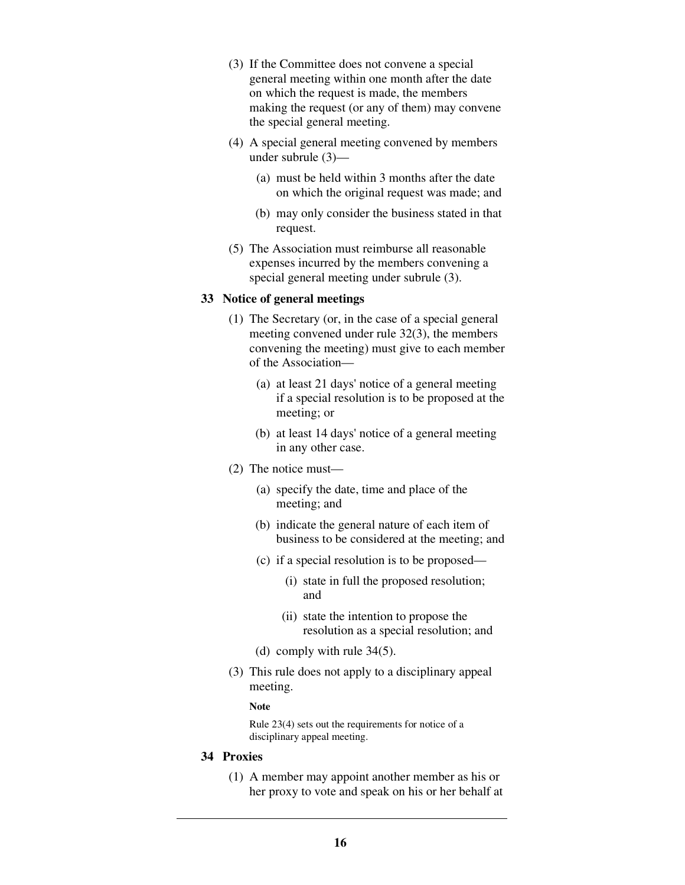- (3) If the Committee does not convene a special general meeting within one month after the date on which the request is made, the members making the request (or any of them) may convene the special general meeting.
- (4) A special general meeting convened by members under subrule (3)—
	- (a) must be held within 3 months after the date on which the original request was made; and
	- (b) may only consider the business stated in that request.
- (5) The Association must reimburse all reasonable expenses incurred by the members convening a special general meeting under subrule (3).

### **33 Notice of general meetings**

- (1) The Secretary (or, in the case of a special general meeting convened under rule 32(3), the members convening the meeting) must give to each member of the Association—
	- (a) at least 21 days' notice of a general meeting if a special resolution is to be proposed at the meeting; or
	- (b) at least 14 days' notice of a general meeting in any other case.
- (2) The notice must—
	- (a) specify the date, time and place of the meeting; and
	- (b) indicate the general nature of each item of business to be considered at the meeting; and
	- (c) if a special resolution is to be proposed—
		- (i) state in full the proposed resolution; and
		- (ii) state the intention to propose the resolution as a special resolution; and
	- (d) comply with rule 34(5).
- (3) This rule does not apply to a disciplinary appeal meeting.

#### **Note**

Rule 23(4) sets out the requirements for notice of a disciplinary appeal meeting.

# **34 Proxies**

 (1) A member may appoint another member as his or her proxy to vote and speak on his or her behalf at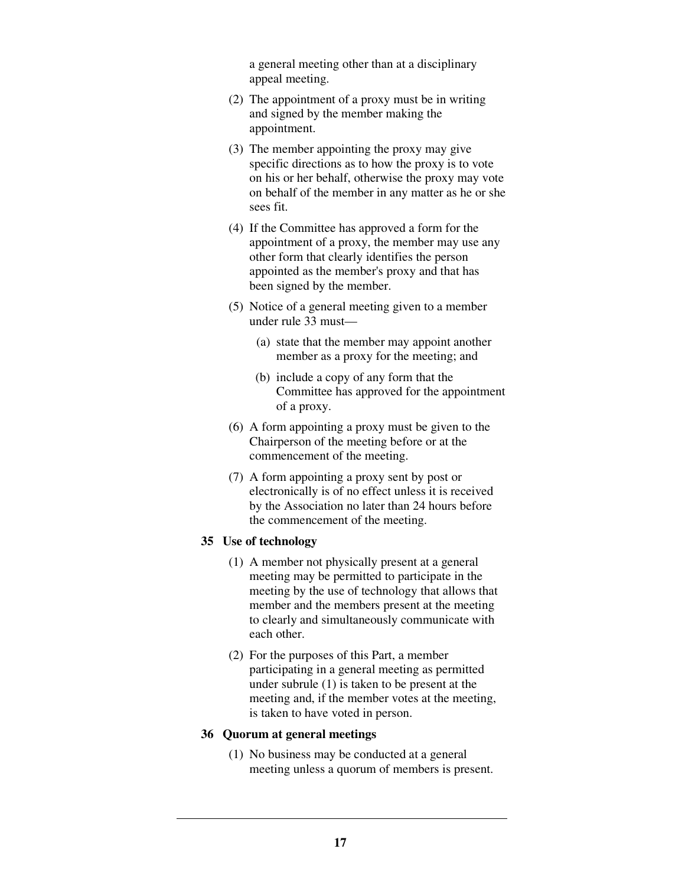a general meeting other than at a disciplinary appeal meeting.

- (2) The appointment of a proxy must be in writing and signed by the member making the appointment.
- (3) The member appointing the proxy may give specific directions as to how the proxy is to vote on his or her behalf, otherwise the proxy may vote on behalf of the member in any matter as he or she sees fit.
- (4) If the Committee has approved a form for the appointment of a proxy, the member may use any other form that clearly identifies the person appointed as the member's proxy and that has been signed by the member.
- (5) Notice of a general meeting given to a member under rule 33 must—
	- (a) state that the member may appoint another member as a proxy for the meeting; and
	- (b) include a copy of any form that the Committee has approved for the appointment of a proxy.
- (6) A form appointing a proxy must be given to the Chairperson of the meeting before or at the commencement of the meeting.
- (7) A form appointing a proxy sent by post or electronically is of no effect unless it is received by the Association no later than 24 hours before the commencement of the meeting.

# **35 Use of technology**

- (1) A member not physically present at a general meeting may be permitted to participate in the meeting by the use of technology that allows that member and the members present at the meeting to clearly and simultaneously communicate with each other.
- (2) For the purposes of this Part, a member participating in a general meeting as permitted under subrule (1) is taken to be present at the meeting and, if the member votes at the meeting, is taken to have voted in person.

#### **36 Quorum at general meetings**

 (1) No business may be conducted at a general meeting unless a quorum of members is present.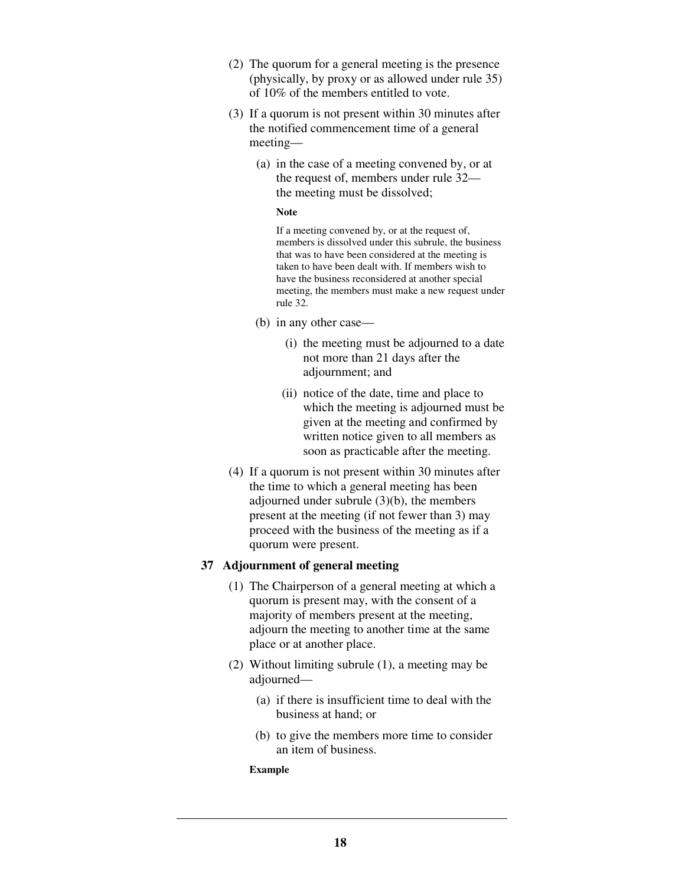- (2) The quorum for a general meeting is the presence (physically, by proxy or as allowed under rule 35) of 10% of the members entitled to vote.
- (3) If a quorum is not present within 30 minutes after the notified commencement time of a general meeting—
	- (a) in the case of a meeting convened by, or at the request of, members under rule 32 the meeting must be dissolved;

#### **Note**

If a meeting convened by, or at the request of, members is dissolved under this subrule, the business that was to have been considered at the meeting is taken to have been dealt with. If members wish to have the business reconsidered at another special meeting, the members must make a new request under rule 32.

- (b) in any other case—
	- (i) the meeting must be adjourned to a date not more than 21 days after the adjournment; and
	- (ii) notice of the date, time and place to which the meeting is adjourned must be given at the meeting and confirmed by written notice given to all members as soon as practicable after the meeting.
- (4) If a quorum is not present within 30 minutes after the time to which a general meeting has been adjourned under subrule (3)(b), the members present at the meeting (if not fewer than 3) may proceed with the business of the meeting as if a quorum were present.

# **37 Adjournment of general meeting**

- (1) The Chairperson of a general meeting at which a quorum is present may, with the consent of a majority of members present at the meeting, adjourn the meeting to another time at the same place or at another place.
- (2) Without limiting subrule (1), a meeting may be adjourned—
	- (a) if there is insufficient time to deal with the business at hand; or
	- (b) to give the members more time to consider an item of business.

#### **Example**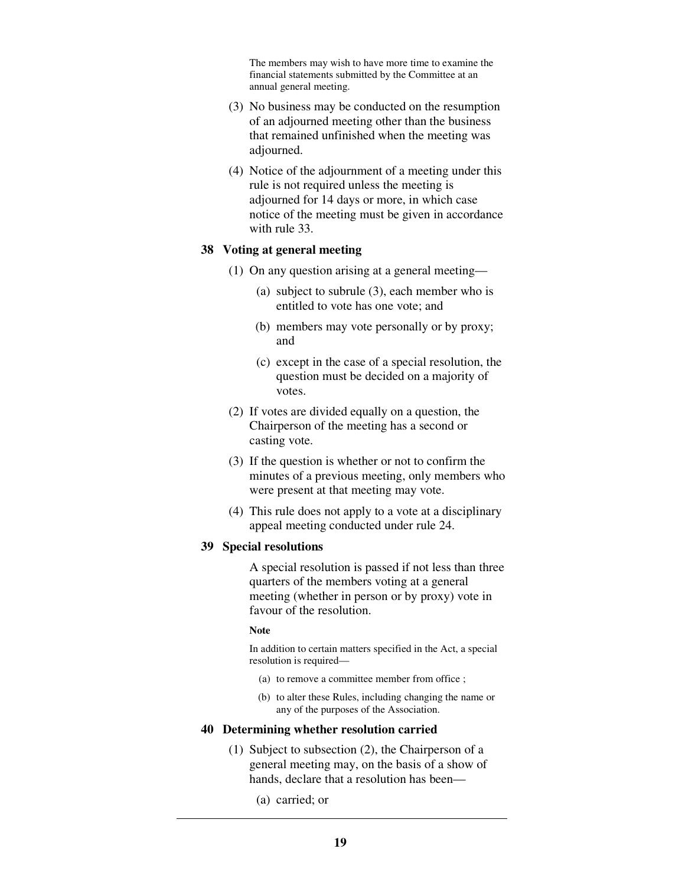The members may wish to have more time to examine the financial statements submitted by the Committee at an annual general meeting.

- (3) No business may be conducted on the resumption of an adjourned meeting other than the business that remained unfinished when the meeting was adjourned.
- (4) Notice of the adjournment of a meeting under this rule is not required unless the meeting is adjourned for 14 days or more, in which case notice of the meeting must be given in accordance with rule 33.

#### **38 Voting at general meeting**

- (1) On any question arising at a general meeting—
	- (a) subject to subrule (3), each member who is entitled to vote has one vote; and
	- (b) members may vote personally or by proxy; and
	- (c) except in the case of a special resolution, the question must be decided on a majority of votes.
- (2) If votes are divided equally on a question, the Chairperson of the meeting has a second or casting vote.
- (3) If the question is whether or not to confirm the minutes of a previous meeting, only members who were present at that meeting may vote.
- (4) This rule does not apply to a vote at a disciplinary appeal meeting conducted under rule 24.

### **39 Special resolutions**

A special resolution is passed if not less than three quarters of the members voting at a general meeting (whether in person or by proxy) vote in favour of the resolution.

#### **Note**

In addition to certain matters specified in the Act, a special resolution is required—

- (a) to remove a committee member from office ;
- (b) to alter these Rules, including changing the name or any of the purposes of the Association.

# **40 Determining whether resolution carried**

- (1) Subject to subsection (2), the Chairperson of a general meeting may, on the basis of a show of hands, declare that a resolution has been—
	- (a) carried; or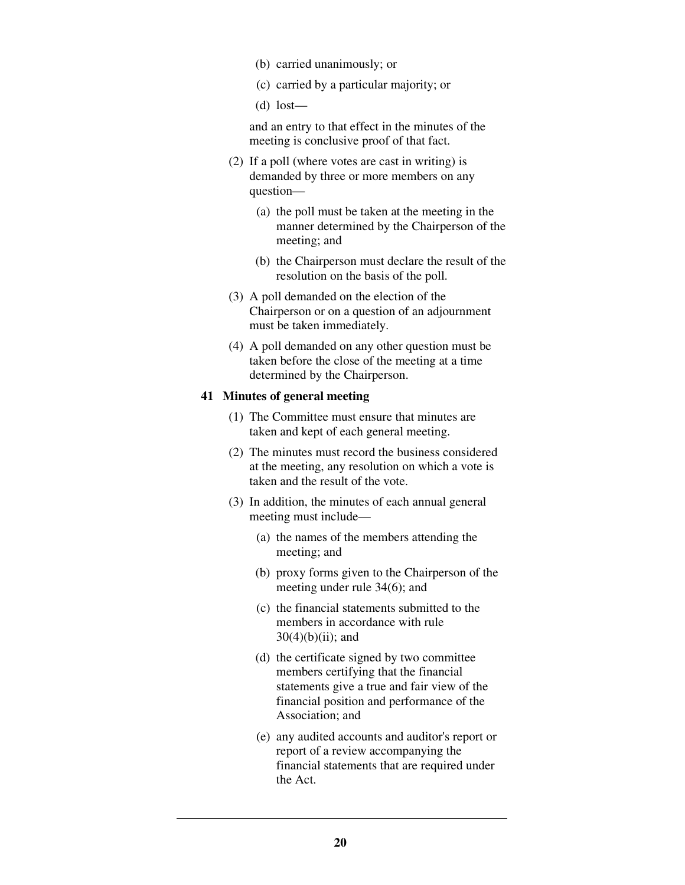- (b) carried unanimously; or
- (c) carried by a particular majority; or
- $(d)$  lost—

and an entry to that effect in the minutes of the meeting is conclusive proof of that fact.

- (2) If a poll (where votes are cast in writing) is demanded by three or more members on any question—
	- (a) the poll must be taken at the meeting in the manner determined by the Chairperson of the meeting; and
	- (b) the Chairperson must declare the result of the resolution on the basis of the poll.
- (3) A poll demanded on the election of the Chairperson or on a question of an adjournment must be taken immediately.
- (4) A poll demanded on any other question must be taken before the close of the meeting at a time determined by the Chairperson.

#### **41 Minutes of general meeting**

- (1) The Committee must ensure that minutes are taken and kept of each general meeting.
- (2) The minutes must record the business considered at the meeting, any resolution on which a vote is taken and the result of the vote.
- (3) In addition, the minutes of each annual general meeting must include—
	- (a) the names of the members attending the meeting; and
	- (b) proxy forms given to the Chairperson of the meeting under rule 34(6); and
	- (c) the financial statements submitted to the members in accordance with rule  $30(4)(b)(ii)$ ; and
	- (d) the certificate signed by two committee members certifying that the financial statements give a true and fair view of the financial position and performance of the Association; and
	- (e) any audited accounts and auditor's report or report of a review accompanying the financial statements that are required under the Act.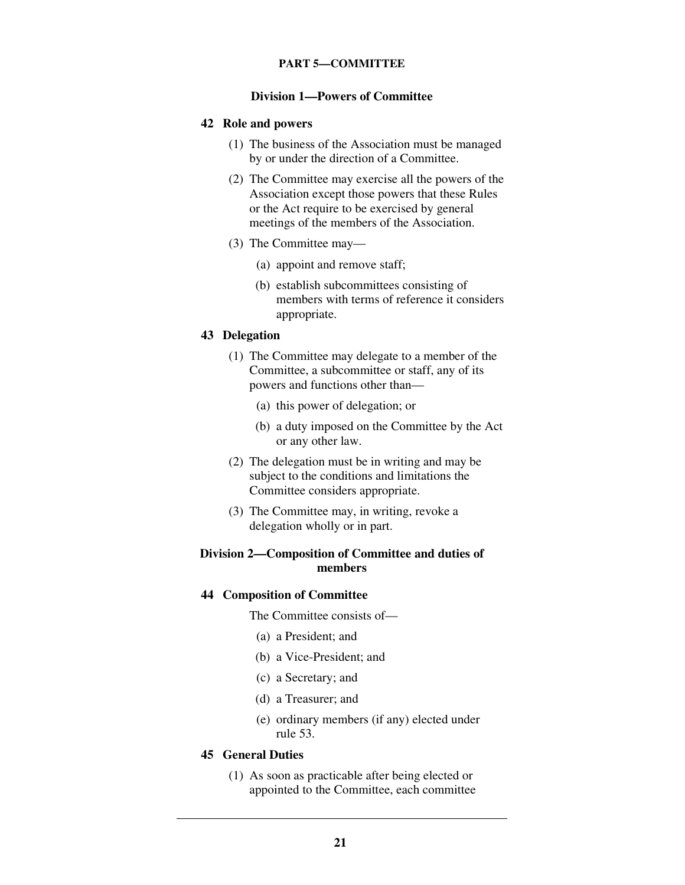# **PART 5—COMMITTEE**

### **Division 1—Powers of Committee**

#### **42 Role and powers**

- (1) The business of the Association must be managed by or under the direction of a Committee.
- (2) The Committee may exercise all the powers of the Association except those powers that these Rules or the Act require to be exercised by general meetings of the members of the Association.
- (3) The Committee may—
	- (a) appoint and remove staff;
	- (b) establish subcommittees consisting of members with terms of reference it considers appropriate.

#### **43 Delegation**

- (1) The Committee may delegate to a member of the Committee, a subcommittee or staff, any of its powers and functions other than—
	- (a) this power of delegation; or
	- (b) a duty imposed on the Committee by the Act or any other law.
- (2) The delegation must be in writing and may be subject to the conditions and limitations the Committee considers appropriate.
- (3) The Committee may, in writing, revoke a delegation wholly or in part.

# **Division 2—Composition of Committee and duties of members**

#### **44 Composition of Committee**

The Committee consists of—

- (a) a President; and
- (b) a Vice-President; and
- (c) a Secretary; and
- (d) a Treasurer; and
- (e) ordinary members (if any) elected under rule 53.

### **45 General Duties**

 (1) As soon as practicable after being elected or appointed to the Committee, each committee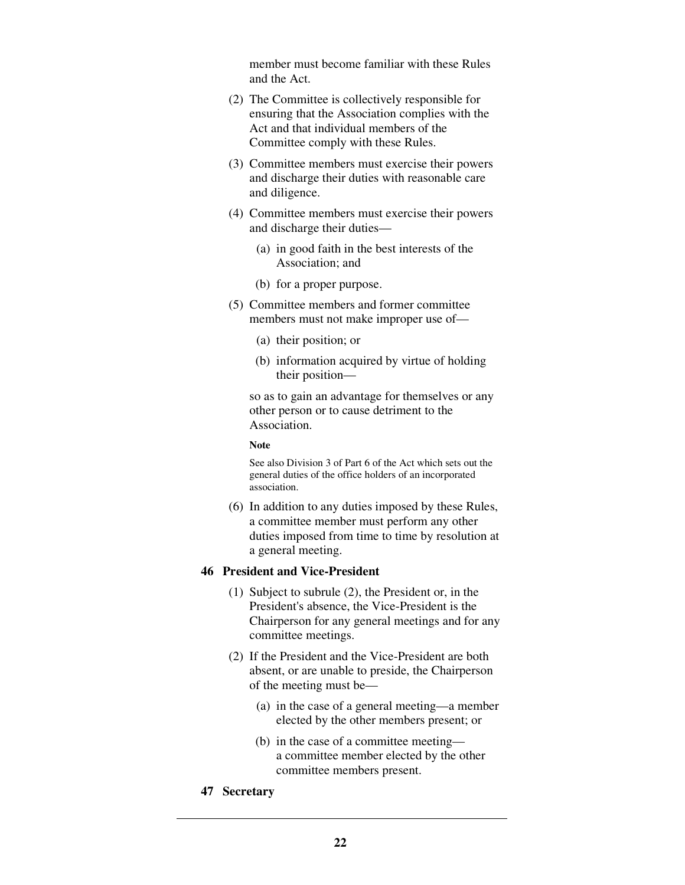member must become familiar with these Rules and the Act.

- (2) The Committee is collectively responsible for ensuring that the Association complies with the Act and that individual members of the Committee comply with these Rules.
- (3) Committee members must exercise their powers and discharge their duties with reasonable care and diligence.
- (4) Committee members must exercise their powers and discharge their duties—
	- (a) in good faith in the best interests of the Association; and
	- (b) for a proper purpose.
- (5) Committee members and former committee members must not make improper use of—
	- (a) their position; or
	- (b) information acquired by virtue of holding their position—

so as to gain an advantage for themselves or any other person or to cause detriment to the Association.

#### **Note**

See also Division 3 of Part 6 of the Act which sets out the general duties of the office holders of an incorporated association.

 (6) In addition to any duties imposed by these Rules, a committee member must perform any other duties imposed from time to time by resolution at a general meeting.

# **46 President and Vice-President**

- (1) Subject to subrule (2), the President or, in the President's absence, the Vice-President is the Chairperson for any general meetings and for any committee meetings.
- (2) If the President and the Vice-President are both absent, or are unable to preside, the Chairperson of the meeting must be—
	- (a) in the case of a general meeting—a member elected by the other members present; or
	- (b) in the case of a committee meeting a committee member elected by the other committee members present.
- **47 Secretary**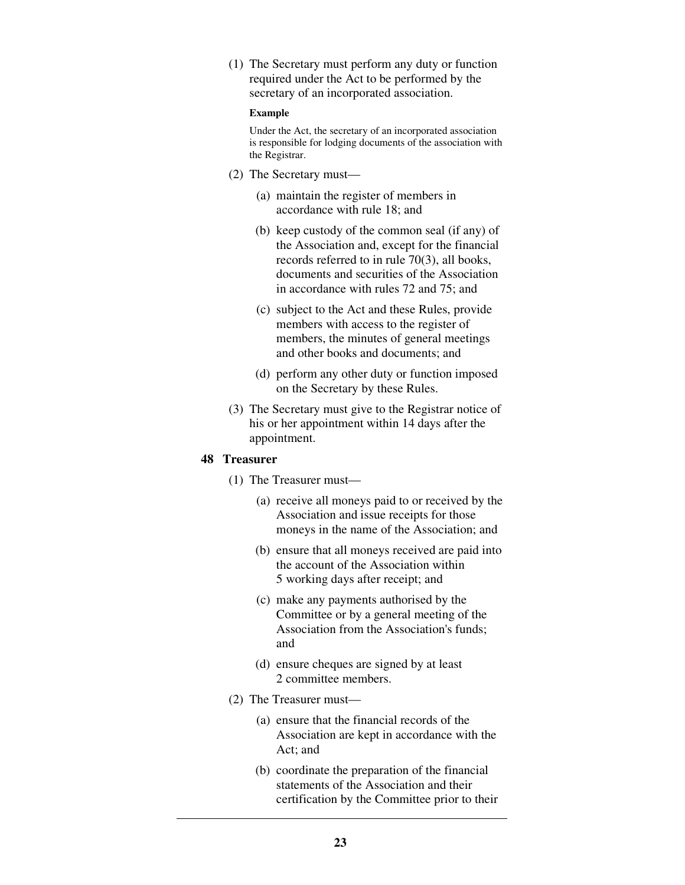(1) The Secretary must perform any duty or function required under the Act to be performed by the secretary of an incorporated association.

#### **Example**

Under the Act, the secretary of an incorporated association is responsible for lodging documents of the association with the Registrar.

- (2) The Secretary must—
	- (a) maintain the register of members in accordance with rule 18; and
	- (b) keep custody of the common seal (if any) of the Association and, except for the financial records referred to in rule 70(3), all books, documents and securities of the Association in accordance with rules 72 and 75; and
	- (c) subject to the Act and these Rules, provide members with access to the register of members, the minutes of general meetings and other books and documents; and
	- (d) perform any other duty or function imposed on the Secretary by these Rules.
- (3) The Secretary must give to the Registrar notice of his or her appointment within 14 days after the appointment.

# **48 Treasurer**

- (1) The Treasurer must—
	- (a) receive all moneys paid to or received by the Association and issue receipts for those moneys in the name of the Association; and
	- (b) ensure that all moneys received are paid into the account of the Association within 5 working days after receipt; and
	- (c) make any payments authorised by the Committee or by a general meeting of the Association from the Association's funds; and
	- (d) ensure cheques are signed by at least 2 committee members.
- (2) The Treasurer must—
	- (a) ensure that the financial records of the Association are kept in accordance with the Act; and
	- (b) coordinate the preparation of the financial statements of the Association and their certification by the Committee prior to their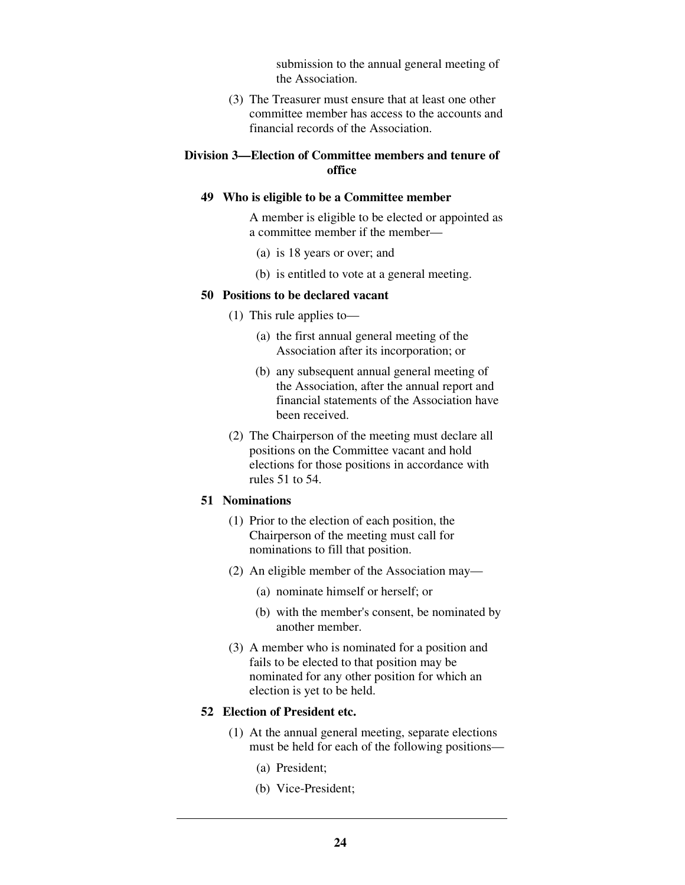submission to the annual general meeting of the Association.

 (3) The Treasurer must ensure that at least one other committee member has access to the accounts and financial records of the Association.

# **Division 3—Election of Committee members and tenure of office**

#### **49 Who is eligible to be a Committee member**

A member is eligible to be elected or appointed as a committee member if the member—

- (a) is 18 years or over; and
- (b) is entitled to vote at a general meeting.

#### **50 Positions to be declared vacant**

- (1) This rule applies to—
	- (a) the first annual general meeting of the Association after its incorporation; or
	- (b) any subsequent annual general meeting of the Association, after the annual report and financial statements of the Association have been received.
- (2) The Chairperson of the meeting must declare all positions on the Committee vacant and hold elections for those positions in accordance with rules 51 to 54.

# **51 Nominations**

- (1) Prior to the election of each position, the Chairperson of the meeting must call for nominations to fill that position.
- (2) An eligible member of the Association may—
	- (a) nominate himself or herself; or
	- (b) with the member's consent, be nominated by another member.
- (3) A member who is nominated for a position and fails to be elected to that position may be nominated for any other position for which an election is yet to be held.

# **52 Election of President etc.**

- (1) At the annual general meeting, separate elections must be held for each of the following positions—
	- (a) President;
	- (b) Vice-President;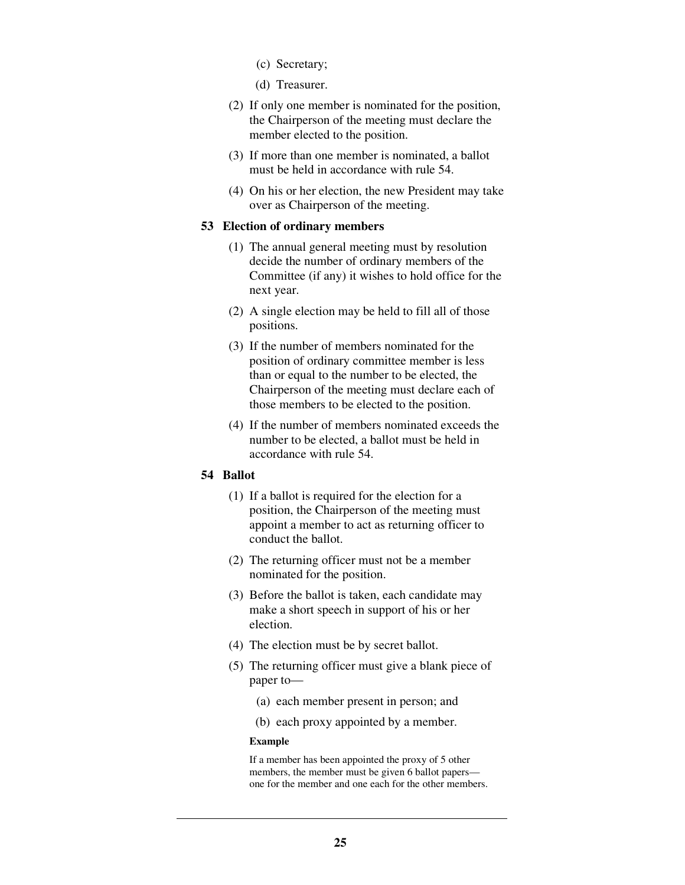- (c) Secretary;
- (d) Treasurer.
- (2) If only one member is nominated for the position, the Chairperson of the meeting must declare the member elected to the position.
- (3) If more than one member is nominated, a ballot must be held in accordance with rule 54.
- (4) On his or her election, the new President may take over as Chairperson of the meeting.

### **53 Election of ordinary members**

- (1) The annual general meeting must by resolution decide the number of ordinary members of the Committee (if any) it wishes to hold office for the next year.
- (2) A single election may be held to fill all of those positions.
- (3) If the number of members nominated for the position of ordinary committee member is less than or equal to the number to be elected, the Chairperson of the meeting must declare each of those members to be elected to the position.
- (4) If the number of members nominated exceeds the number to be elected, a ballot must be held in accordance with rule 54.

#### **54 Ballot**

- (1) If a ballot is required for the election for a position, the Chairperson of the meeting must appoint a member to act as returning officer to conduct the ballot.
- (2) The returning officer must not be a member nominated for the position.
- (3) Before the ballot is taken, each candidate may make a short speech in support of his or her election.
- (4) The election must be by secret ballot.
- (5) The returning officer must give a blank piece of paper to—
	- (a) each member present in person; and
	- (b) each proxy appointed by a member.

#### **Example**

If a member has been appointed the proxy of 5 other members, the member must be given 6 ballot papers one for the member and one each for the other members.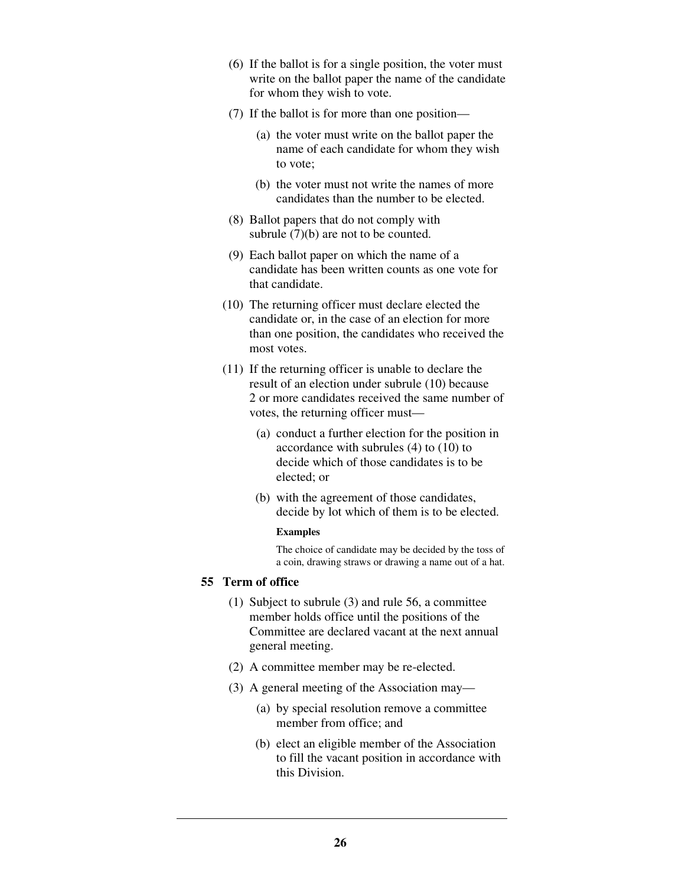- (6) If the ballot is for a single position, the voter must write on the ballot paper the name of the candidate for whom they wish to vote.
- (7) If the ballot is for more than one position—
	- (a) the voter must write on the ballot paper the name of each candidate for whom they wish to vote;
	- (b) the voter must not write the names of more candidates than the number to be elected.
- (8) Ballot papers that do not comply with subrule  $(7)(b)$  are not to be counted.
- (9) Each ballot paper on which the name of a candidate has been written counts as one vote for that candidate.
- (10) The returning officer must declare elected the candidate or, in the case of an election for more than one position, the candidates who received the most votes.
- (11) If the returning officer is unable to declare the result of an election under subrule (10) because 2 or more candidates received the same number of votes, the returning officer must—
	- (a) conduct a further election for the position in accordance with subrules (4) to (10) to decide which of those candidates is to be elected; or
	- (b) with the agreement of those candidates, decide by lot which of them is to be elected.

#### **Examples**

The choice of candidate may be decided by the toss of a coin, drawing straws or drawing a name out of a hat.

# **55 Term of office**

- (1) Subject to subrule (3) and rule 56, a committee member holds office until the positions of the Committee are declared vacant at the next annual general meeting.
- (2) A committee member may be re-elected.
- (3) A general meeting of the Association may—
	- (a) by special resolution remove a committee member from office; and
	- (b) elect an eligible member of the Association to fill the vacant position in accordance with this Division.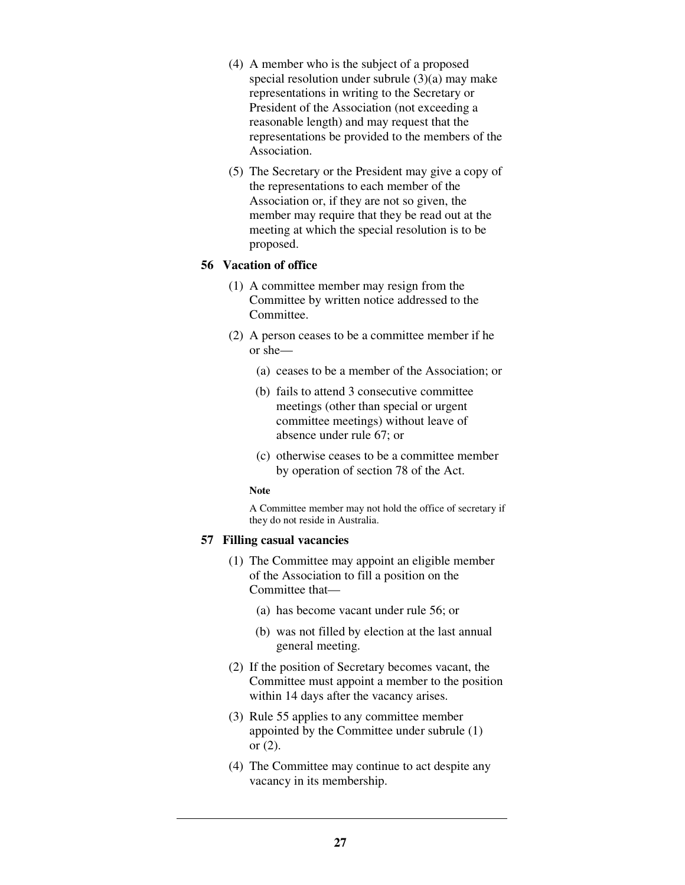- (4) A member who is the subject of a proposed special resolution under subrule (3)(a) may make representations in writing to the Secretary or President of the Association (not exceeding a reasonable length) and may request that the representations be provided to the members of the Association.
- (5) The Secretary or the President may give a copy of the representations to each member of the Association or, if they are not so given, the member may require that they be read out at the meeting at which the special resolution is to be proposed.

### **56 Vacation of office**

- (1) A committee member may resign from the Committee by written notice addressed to the Committee.
- (2) A person ceases to be a committee member if he or she—
	- (a) ceases to be a member of the Association; or
	- (b) fails to attend 3 consecutive committee meetings (other than special or urgent committee meetings) without leave of absence under rule 67; or
	- (c) otherwise ceases to be a committee member by operation of section 78 of the Act.

#### **Note**

A Committee member may not hold the office of secretary if they do not reside in Australia.

#### **57 Filling casual vacancies**

- (1) The Committee may appoint an eligible member of the Association to fill a position on the Committee that—
	- (a) has become vacant under rule 56; or
	- (b) was not filled by election at the last annual general meeting.
- (2) If the position of Secretary becomes vacant, the Committee must appoint a member to the position within 14 days after the vacancy arises.
- (3) Rule 55 applies to any committee member appointed by the Committee under subrule (1) or (2).
- (4) The Committee may continue to act despite any vacancy in its membership.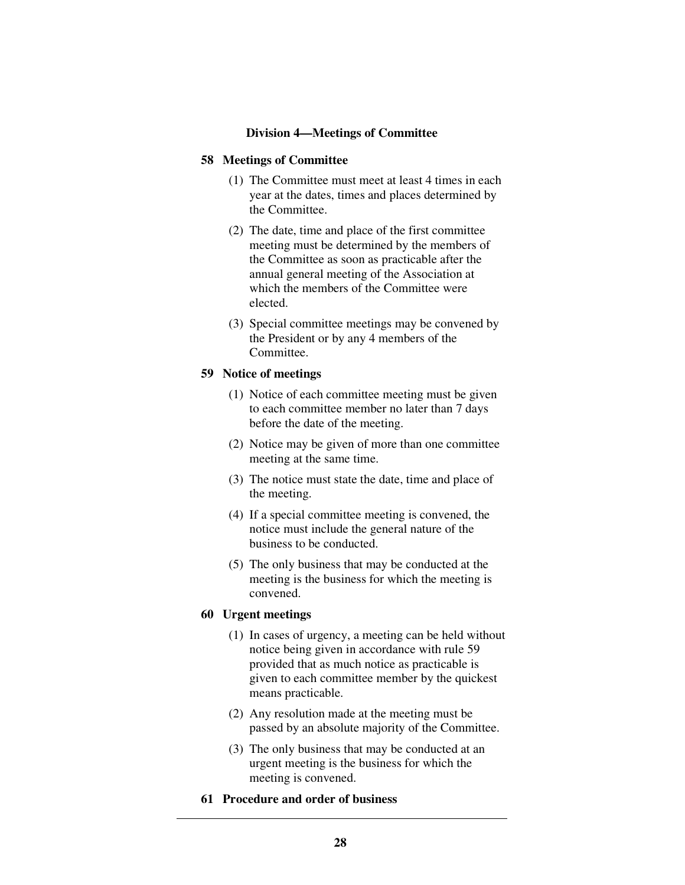### **Division 4—Meetings of Committee**

#### **58 Meetings of Committee**

- (1) The Committee must meet at least 4 times in each year at the dates, times and places determined by the Committee.
- (2) The date, time and place of the first committee meeting must be determined by the members of the Committee as soon as practicable after the annual general meeting of the Association at which the members of the Committee were elected.
- (3) Special committee meetings may be convened by the President or by any 4 members of the Committee.

#### **59 Notice of meetings**

- (1) Notice of each committee meeting must be given to each committee member no later than 7 days before the date of the meeting.
- (2) Notice may be given of more than one committee meeting at the same time.
- (3) The notice must state the date, time and place of the meeting.
- (4) If a special committee meeting is convened, the notice must include the general nature of the business to be conducted.
- (5) The only business that may be conducted at the meeting is the business for which the meeting is convened.

# **60 Urgent meetings**

- (1) In cases of urgency, a meeting can be held without notice being given in accordance with rule 59 provided that as much notice as practicable is given to each committee member by the quickest means practicable.
- (2) Any resolution made at the meeting must be passed by an absolute majority of the Committee.
- (3) The only business that may be conducted at an urgent meeting is the business for which the meeting is convened.
- **61 Procedure and order of business**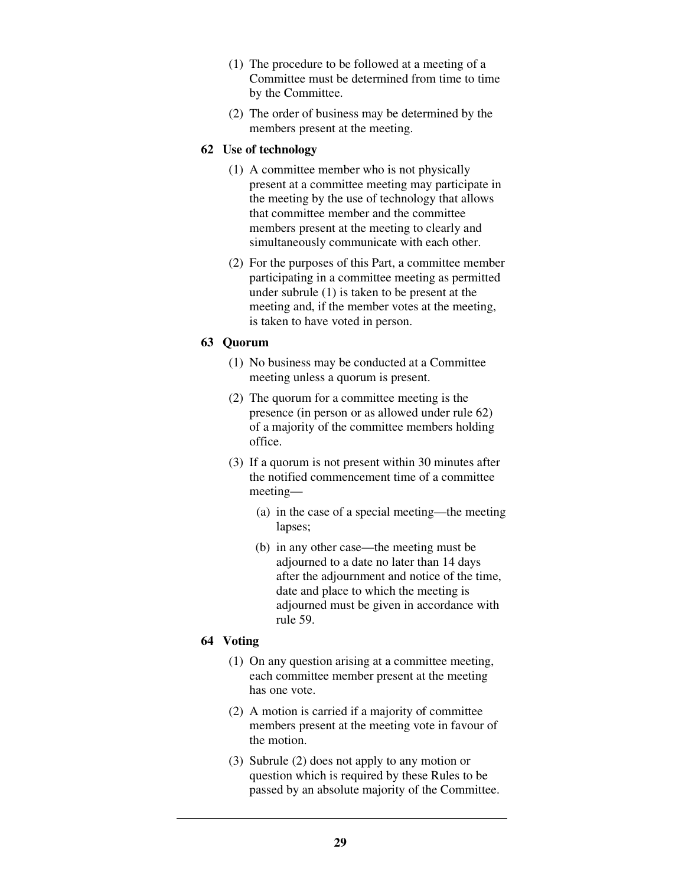- (1) The procedure to be followed at a meeting of a Committee must be determined from time to time by the Committee.
- (2) The order of business may be determined by the members present at the meeting.

### **62 Use of technology**

- (1) A committee member who is not physically present at a committee meeting may participate in the meeting by the use of technology that allows that committee member and the committee members present at the meeting to clearly and simultaneously communicate with each other.
- (2) For the purposes of this Part, a committee member participating in a committee meeting as permitted under subrule (1) is taken to be present at the meeting and, if the member votes at the meeting, is taken to have voted in person.

### **63 Quorum**

- (1) No business may be conducted at a Committee meeting unless a quorum is present.
- (2) The quorum for a committee meeting is the presence (in person or as allowed under rule 62) of a majority of the committee members holding office.
- (3) If a quorum is not present within 30 minutes after the notified commencement time of a committee meeting—
	- (a) in the case of a special meeting—the meeting lapses;
	- (b) in any other case—the meeting must be adjourned to a date no later than 14 days after the adjournment and notice of the time, date and place to which the meeting is adjourned must be given in accordance with rule 59.

# **64 Voting**

- (1) On any question arising at a committee meeting, each committee member present at the meeting has one vote.
- (2) A motion is carried if a majority of committee members present at the meeting vote in favour of the motion.
- (3) Subrule (2) does not apply to any motion or question which is required by these Rules to be passed by an absolute majority of the Committee.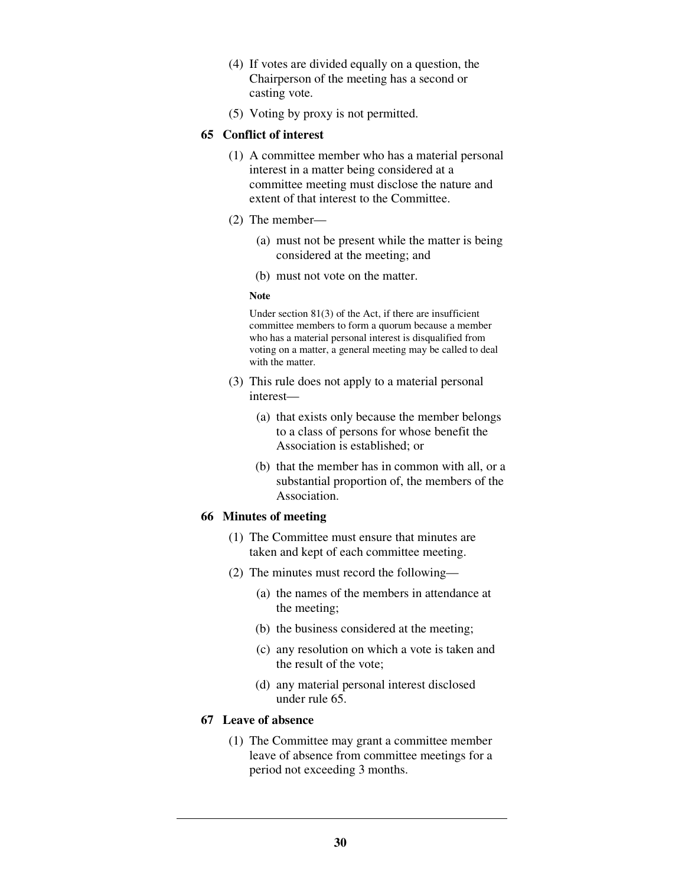- (4) If votes are divided equally on a question, the Chairperson of the meeting has a second or casting vote.
- (5) Voting by proxy is not permitted.

# **65 Conflict of interest**

- (1) A committee member who has a material personal interest in a matter being considered at a committee meeting must disclose the nature and extent of that interest to the Committee.
- (2) The member—
	- (a) must not be present while the matter is being considered at the meeting; and
	- (b) must not vote on the matter.

### **Note**

Under section 81(3) of the Act, if there are insufficient committee members to form a quorum because a member who has a material personal interest is disqualified from voting on a matter, a general meeting may be called to deal with the matter.

- (3) This rule does not apply to a material personal interest—
	- (a) that exists only because the member belongs to a class of persons for whose benefit the Association is established; or
	- (b) that the member has in common with all, or a substantial proportion of, the members of the Association.

# **66 Minutes of meeting**

- (1) The Committee must ensure that minutes are taken and kept of each committee meeting.
- (2) The minutes must record the following—
	- (a) the names of the members in attendance at the meeting;
	- (b) the business considered at the meeting;
	- (c) any resolution on which a vote is taken and the result of the vote;
	- (d) any material personal interest disclosed under rule 65.

# **67 Leave of absence**

 (1) The Committee may grant a committee member leave of absence from committee meetings for a period not exceeding 3 months.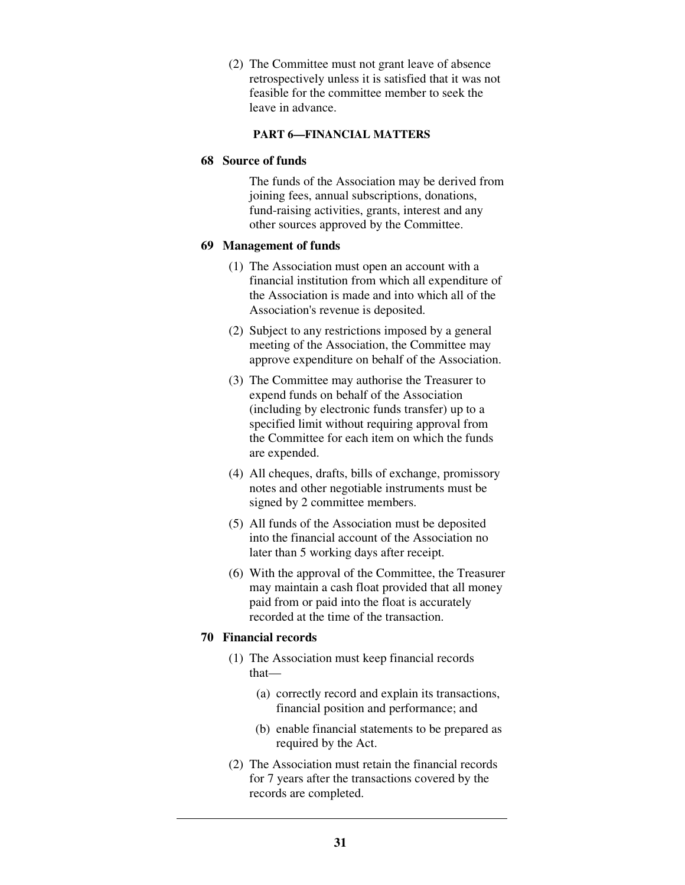(2) The Committee must not grant leave of absence retrospectively unless it is satisfied that it was not feasible for the committee member to seek the leave in advance.

### **PART 6—FINANCIAL MATTERS**

### **68 Source of funds**

The funds of the Association may be derived from joining fees, annual subscriptions, donations, fund-raising activities, grants, interest and any other sources approved by the Committee.

# **69 Management of funds**

- (1) The Association must open an account with a financial institution from which all expenditure of the Association is made and into which all of the Association's revenue is deposited.
- (2) Subject to any restrictions imposed by a general meeting of the Association, the Committee may approve expenditure on behalf of the Association.
- (3) The Committee may authorise the Treasurer to expend funds on behalf of the Association (including by electronic funds transfer) up to a specified limit without requiring approval from the Committee for each item on which the funds are expended.
- (4) All cheques, drafts, bills of exchange, promissory notes and other negotiable instruments must be signed by 2 committee members.
- (5) All funds of the Association must be deposited into the financial account of the Association no later than 5 working days after receipt.
- (6) With the approval of the Committee, the Treasurer may maintain a cash float provided that all money paid from or paid into the float is accurately recorded at the time of the transaction.

# **70 Financial records**

- (1) The Association must keep financial records that—
	- (a) correctly record and explain its transactions, financial position and performance; and
	- (b) enable financial statements to be prepared as required by the Act.
- (2) The Association must retain the financial records for 7 years after the transactions covered by the records are completed.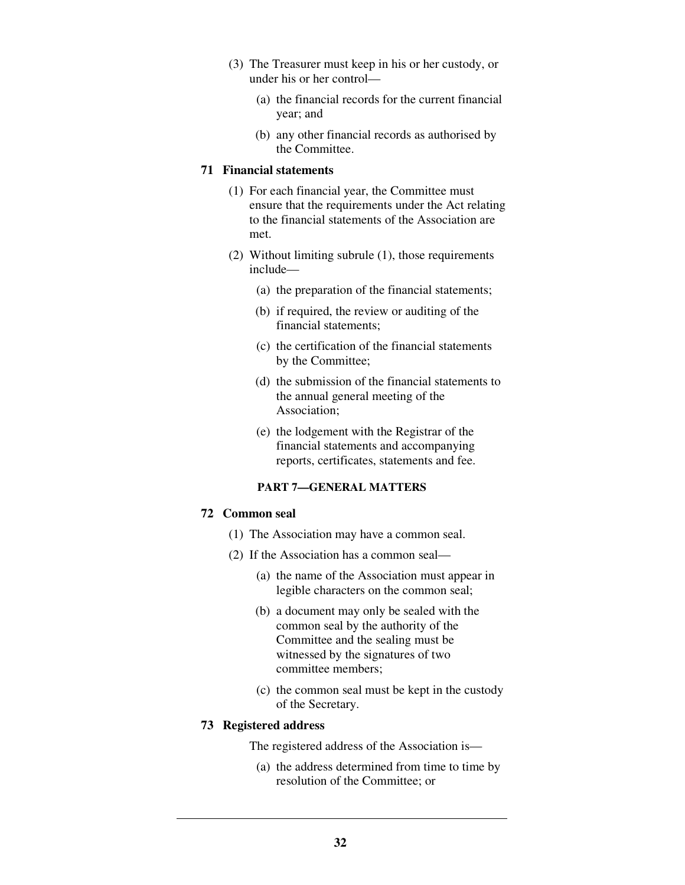- (3) The Treasurer must keep in his or her custody, or under his or her control—
	- (a) the financial records for the current financial year; and
	- (b) any other financial records as authorised by the Committee.

# **71 Financial statements**

- (1) For each financial year, the Committee must ensure that the requirements under the Act relating to the financial statements of the Association are met.
- (2) Without limiting subrule (1), those requirements include—
	- (a) the preparation of the financial statements;
	- (b) if required, the review or auditing of the financial statements;
	- (c) the certification of the financial statements by the Committee;
	- (d) the submission of the financial statements to the annual general meeting of the Association;
	- (e) the lodgement with the Registrar of the financial statements and accompanying reports, certificates, statements and fee.

# **PART 7—GENERAL MATTERS**

#### **72 Common seal**

- (1) The Association may have a common seal.
- (2) If the Association has a common seal—
	- (a) the name of the Association must appear in legible characters on the common seal;
	- (b) a document may only be sealed with the common seal by the authority of the Committee and the sealing must be witnessed by the signatures of two committee members;
	- (c) the common seal must be kept in the custody of the Secretary.

#### **73 Registered address**

The registered address of the Association is—

 (a) the address determined from time to time by resolution of the Committee; or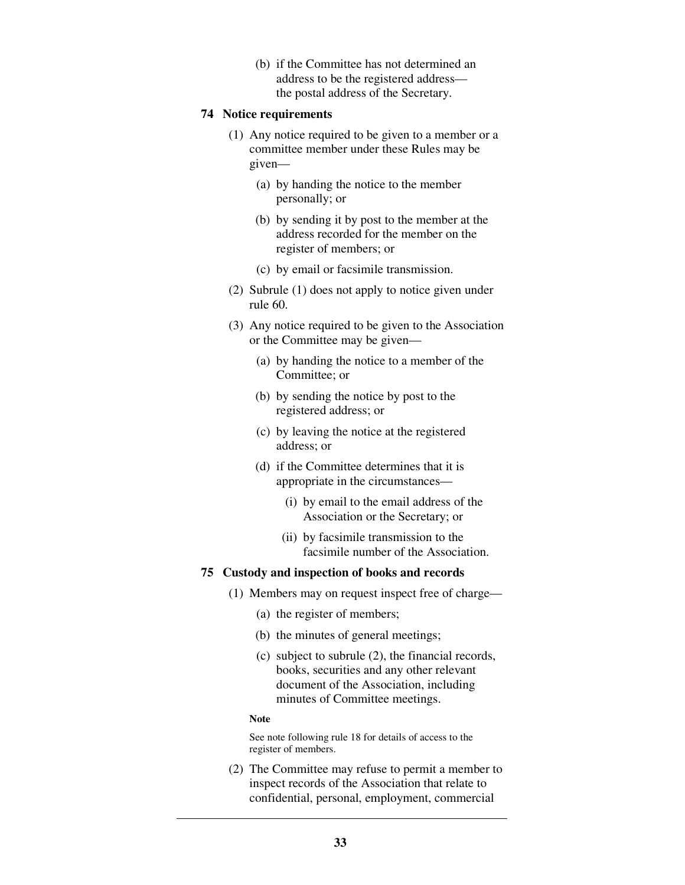(b) if the Committee has not determined an address to be the registered address the postal address of the Secretary.

#### **74 Notice requirements**

- (1) Any notice required to be given to a member or a committee member under these Rules may be given—
	- (a) by handing the notice to the member personally; or
	- (b) by sending it by post to the member at the address recorded for the member on the register of members; or
	- (c) by email or facsimile transmission.
- (2) Subrule (1) does not apply to notice given under rule 60.
- (3) Any notice required to be given to the Association or the Committee may be given—
	- (a) by handing the notice to a member of the Committee; or
	- (b) by sending the notice by post to the registered address; or
	- (c) by leaving the notice at the registered address; or
	- (d) if the Committee determines that it is appropriate in the circumstances—
		- (i) by email to the email address of the Association or the Secretary; or
		- (ii) by facsimile transmission to the facsimile number of the Association.

# **75 Custody and inspection of books and records**

- (1) Members may on request inspect free of charge—
	- (a) the register of members;
	- (b) the minutes of general meetings;
	- (c) subject to subrule (2), the financial records, books, securities and any other relevant document of the Association, including minutes of Committee meetings.

#### **Note**

See note following rule 18 for details of access to the register of members.

 (2) The Committee may refuse to permit a member to inspect records of the Association that relate to confidential, personal, employment, commercial